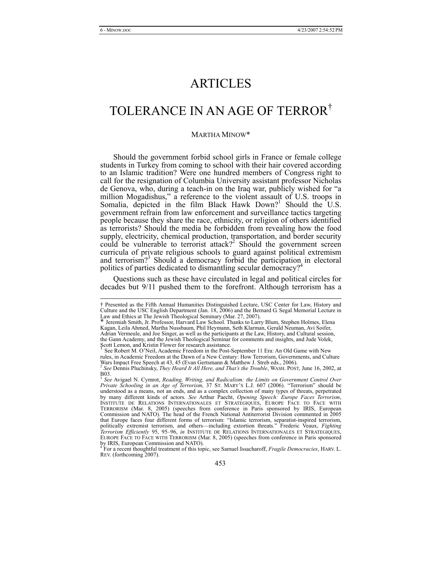# ARTICLES

# TOLERANCE IN AN AGE OF TERROR†

#### MARTHA MINOW\*

Should the government forbid school girls in France or female college students in Turkey from coming to school with their hair covered according to an Islamic tradition? Were one hundred members of Congress right to call for the resignation of Columbia University assistant professor Nicholas de Genova, who, during a teach-in on the Iraq war, publicly wished for "a million Mogadishus," a reference to the violent assault of U.S. troops in Somalia, depicted in the film Black Hawk Down?<sup>1</sup> Should the U.S. government refrain from law enforcement and surveillance tactics targeting people because they share the race, ethnicity, or religion of others identified as terrorists? Should the media be forbidden from revealing how the food supply, electricity, chemical production, transportation, and border security could be vulnerable to terrorist attack?<sup>2</sup> Should the government screen curricula of private religious schools to guard against political extremism and terrorism?<sup>3</sup> Should a democracy forbid the participation in electoral politics of parties dedicated to dismantling secular democracy?<sup>4</sup>

Questions such as these have circulated in legal and political circles for decades but 9/11 pushed them to the forefront. Although terrorism has a

Scott Lemon, and Kristin Flower for research assistance.<br>See Robert M. O'Neil, Academic Freedom in the Post-September 11 Era: An Old Game with New <sup>1</sup> See Robert M. O'Neil, Academic Freedom in the Post-September 11 Era: An Old Game with New rules, in Academic Freedom at the Dawn of a New Century: How Terrorism, Governments, and Culture Wars Impact Free Speech at 43, 45 (Evan Gertsmann & Matthew J. Streb eds., 2006). <sup>2</sup> *See* Dennis Pluchinsky, *They Heard It All Here, and That's the Trouble*, WASH. POST, June 16, 2002, at

 <sup>†</sup> Presented as the Fifth Annual Humanities Distinguished Lecture, USC Center for Law, History and Culture and the USC English Department (Jan. 18, 2006) and the Bernard G. Segal Memorial Lecture in

Law and Ethics at The Jewish Theological Seminary (Mar. 27, 2007). \* Jeremiah Smith, Jr. Professor, Harvard Law School. Thanks to Larry Blum, Stephen Holmes, Elena Kagan, Leila Ahmed, Martha Nussbaum, Phil Heymann, Seth Klarman, Gerald Neuman, Avi Soifer, Adrian Vermeule, and Joe Singer, as well as the participants at the Law, History, and Cultural session, the Gann Academy, and the Jewish Theological Seminar for comments and insights, and Jude Volek,

 $\overline{B03}$ .

<sup>3</sup> *See* Avigael N. Cymrot, *Reading, Writing, and Radicalism: the Limits on Government Control Over Private Schooling in an Age of Terrorism*, 37 ST. MARY'S L.J. 607 (2006). "Terrorism" should be understood as a means, not an ends, and as a complex collection of many types of threats, perpetrated by many different kinds of actors. See Arthur Paecht, Opening Speech: Europe Faces Terrorism, INSTITUTE DE RELATIONS INTERNATIONALES ET STRATEGIQUES, EUROPE FACE TO FACE WITH TERRORISM (Mar. 8, 2005) (speeches from conference in Paris sponsored by IRIS, European Commission and NATO). The head of the French National Antiterrorist Division commented in 2005 that Europe faces four different forms of terrorism: "Islamic terrorism, separatist-inspired terrorism, politically extremist terrorism, and others—including extortion threats." Frederic Veaux, *Fighting Terrorism Efficiently* 95, 95–96, *in* INSTITUTE DE RELATIONS INTERNATIONALES ET STRATEGIQUES, EUROPE FACE TO FACE WITH TERRORISM (Mar. 8, 2005) (speeches from conference in Paris sponsored by IRIS, European Commission and NATO).<br><sup>4</sup> Eer a regent thoughtful treatment of this ton

For a recent thoughtful treatment of this topic, see Samuel Issacharoff, *Fragile Democracies*, HARV. L. REV. (forthcoming 2007).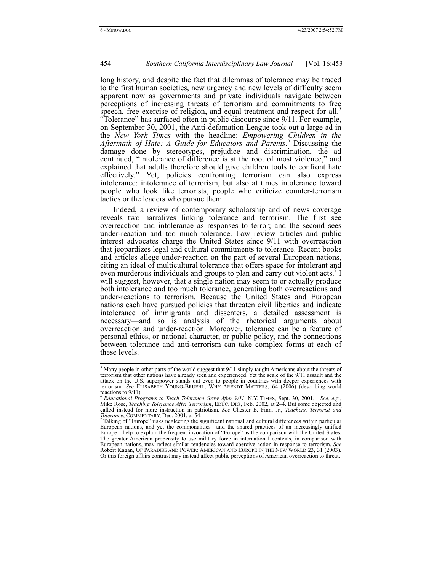long history, and despite the fact that dilemmas of tolerance may be traced to the first human societies, new urgency and new levels of difficulty seem apparent now as governments and private individuals navigate between perceptions of increasing threats of terrorism and commitments to free speech, free exercise of religion, and equal treatment and respect for all.<sup>5</sup> "Tolerance" has surfaced often in public discourse since 9/11. For example, on September 30, 2001, the Anti-defamation League took out a large ad in the *New York Times* with the headline: *Empowering Children in the Aftermath of Hate: A Guide for Educators and Parents*. 6 Discussing the damage done by stereotypes, prejudice and discrimination, the ad continued, "intolerance of difference is at the root of most violence," and explained that adults therefore should give children tools to confront hate effectively." Yet, policies confronting terrorism can also express intolerance: intolerance of terrorism, but also at times intolerance toward people who look like terrorists, people who criticize counter-terrorism tactics or the leaders who pursue them.

Indeed, a review of contemporary scholarship and of news coverage reveals two narratives linking tolerance and terrorism. The first see overreaction and intolerance as responses to terror; and the second sees under-reaction and too much tolerance. Law review articles and public interest advocates charge the United States since 9/11 with overreaction that jeopardizes legal and cultural commitments to tolerance. Recent books and articles allege under-reaction on the part of several European nations, citing an ideal of multicultural tolerance that offers space for intolerant and even murderous individuals and groups to plan and carry out violent acts.<sup>7</sup> I will suggest, however, that a single nation may seem to or actually produce both intolerance and too much tolerance, generating both overreactions and under-reactions to terrorism. Because the United States and European nations each have pursued policies that threaten civil liberties and indicate intolerance of immigrants and dissenters, a detailed assessment is necessary—and so is analysis of the rhetorical arguments about overreaction and under-reaction. Moreover, tolerance can be a feature of personal ethics, or national character, or public policy, and the connections between tolerance and anti-terrorism can take complex forms at each of these levels.

 <sup>5</sup>  $\frac{5}{5}$  Many people in other parts of the world suggest that 9/11 simply taught Americans about the threats of terrorism that other nations have already seen and experienced. Yet the scale of the 9/11 assault and the attack on the U.S. superpower stands out even to people in countries with deeper experiences with terrorism. *See* ELISABETH YOUNG-BRUEHL, WHY ARENDT MATTERS, 64 (2006) (describing world reactions to 9/11). <sup>6</sup> *Educational Programs to Teach Tolerance Grew After 9/11*, N.Y. TIMES, Sept. 30, 2001, . *See, e.g.,*

Mike Rose, *Teaching Tolerance After Terrorism*, EDUC. DIG., Feb. 2002, at 2–4. But some objected and called instead for more instruction in patriotism. *See* Chester E. Finn, Jr., *Teachers, Terrorist and Tolerance*, COMMENTARY, Dec. 2001, at 54. *Tolerance*, Computers, *Letters*, *terrorist and*  $\frac{7}{1}$  Talking of "Europe" risks neglecting the significant national and cultural differences within particular

European nations, and yet the commonalities—and the shared practices of an increasingly unified Europe—help to explain the frequent invocation of "Europe" as the comparison with the United States. The greater American propensity to use military force in international contexts, in comparison with European nations, may reflect similar tendencies toward coercive action in response to terrorism. *See* Robert Kagan, OF PARADISE AND POWER: AMERICAN AND EUROPE IN THE NEW WORLD 23, 31 (2003). Or this foreign affairs contrast may instead affect public perceptions of American overreaction to threat.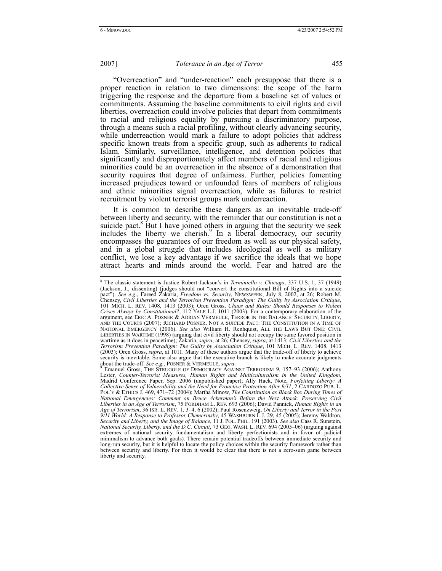"Overreaction" and "under-reaction" each presuppose that there is a proper reaction in relation to two dimensions: the scope of the harm triggering the response and the departure from a baseline set of values or commitments. Assuming the baseline commitments to civil rights and civil liberties, overreaction could involve policies that depart from commitments to racial and religious equality by pursuing a discriminatory purpose, through a means such a racial profiling, without clearly advancing security, while underreaction would mark a failure to adopt policies that address specific known treats from a specific group, such as adherents to radical Islam. Similarly, surveillance, intelligence, and detention policies that significantly and disproportionately affect members of racial and religious minorities could be an overreaction in the absence of a demonstration that security requires that degree of unfairness. Further, policies fomenting increased prejudices toward or unfounded fears of members of religious and ethnic minorities signal overreaction, while as failures to restrict recruitment by violent terrorist groups mark underreaction.

It is common to describe these dangers as an inevitable trade-off between liberty and security, with the reminder that our constitution is not a suicide pact.<sup>8</sup> But I have joined others in arguing that the security we seek includes the liberty we cherish.<sup>9</sup> In a liberal democracy, our security encompasses the guarantees of our freedom as well as our physical safety, and in a global struggle that includes ideological as well as military conflict, we lose a key advantage if we sacrifice the ideals that we hope attract hearts and minds around the world. Fear and hatred are the

 <sup>8</sup> <sup>8</sup> The classic statement is Justice Robert Jackson's in *Terminiello v. Chicago*, 337 U.S. 1, 37 (1949) (Jackson, J., dissenting) (judges should not "convert the constitutional Bill of Rights into a suicide pact"). See e.g., Fareed Zakaria, Freedom vs. Security, NEWSWEEK, July 8, 2002, at 26; Robert M.<br>Chensey, Civil Liberties and the Terrorism Prevention Paradigm: The Guilty by Association Critique,<br>101 MICH. L. REV. 1408, 1 *Crises Always be Constitutional?*, 112 YALE L.J. 1011 (2003). For a contemporary elaboration of the argument, see ERIC A. POSNER & ADRIAN VERMEULE, TERROR IN THE BALANCE: SECURITY, LIBERTY, AND THE COURTS (2007); RICHARD POSNER, NOT A SUICIDE PACT: THE CONSTITUTION IN A TIME OF NATIONAL EMERGENCY (2006). *See also* William H. Renhquist, ALL THE LAWS BUT ONE: CIVIL LIBERTIES IN WARTIME (1998) (arguing that civil liberty should not occupy the same favored position in wartime as it does in peacetime); Zakaria, *supra*, at 26; Chensey, *supra*, at 1413; *Civil Liberties and the Terrorism Prevention Paradigm: The Guilty by Association Critique*, 101 MICH. L. REV. 1408, 1413 (2003); Oren Gross, *supra*, at 1011. Many of these authors argue that the trade-off of liberty to achieve security is inevitable. Some also argue that the executive branch is likely to make accurate judgments about the trade-off. *See e.g.*, POSNER & VERMEULE, *supra*. 9

Emanuel Gross, THE STRUGGLE OF DEMOCRACY AGAINST TERRORISM 9, 157–93 (2006); Anthony Lester, *Counter-Terrorist Measures, Human Rights and Multiculturalism in the United Kingdom*, Madrid Conference Paper, Sep. 2006 (unpublished paper); Ally Hack, Note, *Forfeiting Liberty: A Collective Sense of Vulnerability and the Need for Proactive Protection After 9/11*, 2 CARDOZO PUB. L. POL'Y & ETHICS J. 469, 471–72 (2004); Martha Minow, *The Constitution as Black Box During Times of National Emergencies: Comment on Bruce Ackerman's Before the Next Attack: Preserving Civil*  Liberties in an Âge of Terrorism, 75 FORDHAM L. REV. 693 (2006); David Pannick, *Human Rights in an*<br>Age of Terrorism, 36 ISR. L. REV. 1, 3–4, 6 (2002); Paul Rosenzweig, *On Liberty and Terror in the Post* 9/11 World: A Response to Professor Chemerinsky, 45 WASHBURN L.J. 29, 45 (2005); Jeremy Waldron,<br>Security and Liberty, and the Image of Balance, 11 J. POL. PHIL. 191 (2003). See also Cass R. Sunstein,<br>National Security, Li extremes of national security fundamentalism and liberty perfectionists and in favor of judicial minimalism to advance both goals). There remain potential tradeoffs between immediate security and long-run security, but it is helpful to locate the policy choices within the security framework rather than between security and liberty. For then it would be clear that there is not a zero-sum game between liberty and security.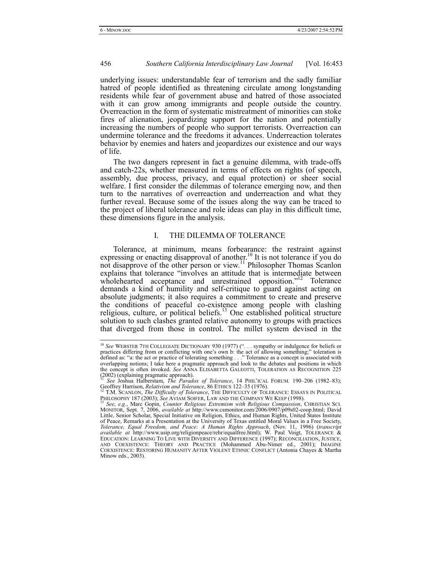underlying issues: understandable fear of terrorism and the sadly familiar hatred of people identified as threatening circulate among longstanding residents while fear of government abuse and hatred of those associated with it can grow among immigrants and people outside the country. Overreaction in the form of systematic mistreatment of minorities can stoke fires of alienation, jeopardizing support for the nation and potentially increasing the numbers of people who support terrorists. Overreaction can undermine tolerance and the freedoms it advances. Underreaction tolerates behavior by enemies and haters and jeopardizes our existence and our ways of life.

The two dangers represent in fact a genuine dilemma, with trade-offs and catch-22s, whether measured in terms of effects on rights (of speech, assembly, due process, privacy, and equal protection) or sheer social welfare. I first consider the dilemmas of tolerance emerging now, and then turn to the narratives of overreaction and underreaction and what they further reveal. Because some of the issues along the way can be traced to the project of liberal tolerance and role ideas can play in this difficult time, these dimensions figure in the analysis.

## I. THE DILEMMA OF TOLERANCE

Tolerance, at minimum, means forbearance: the restraint against expressing or enacting disapproval of another.<sup>10</sup> It is not tolerance if you do not disapprove of the other person or view.<sup>11</sup> Philosopher Thomas Scanlon explains that tolerance "involves an attitude that is intermediate between wholehearted acceptance and unrestrained opposition."<sup>12</sup> Tolerance demands a kind of humility and self-critique to guard against acting on absolute judgments; it also requires a commitment to create and preserve the conditions of peaceful co-existence among people with clashing religious, culture, or political beliefs.<sup>13</sup> One established political structure solution to such clashes granted relative autonomy to groups with practices that diverged from those in control. The millet system devised in the

<sup>&</sup>lt;sup>10</sup> See WEBSTER 7TH COLLEGIATE DICTIONARY 930 (1977) ("... sympathy or indulgence for beliefs or practices differing from or conflicting with one's own b: the act of allowing something;" toleration is defined as: "a: the act or practice of tolerating something . . ." Tolerance as a concept is associated with overlapping notions; I take here a pragmatic approach and look to the debates and positions in which the concept is often invoked. *See* ANNA ELISABETTA GALEOTTI, TOLERATION AS RECOGNITION 225 (2002) (explaining pragmatic approach).

<sup>11</sup> *See* Joshua Halberstam, *The Paradox of Tolerance*, 14 PHIL'ICAL FORUM*.* 190–206 (1982–83); Geoffrey Harrison, *Relativism and Tolerance*, 86 ETHICS 122–35 (1976).<br>
<sup>12</sup> T.M. SCANLON, *The Difficulty of Tolerance*, THE DIFFICULTY OF TOLERANCE: ESSAYS IN POLITICAL<br> **PHILOSOPHY 187 (2003)**; See AVIAM SOFFRE, LAW AN

<sup>13</sup> See, e.g., Marc Gopin, Counter Religious Extremism with Religious Compassion, CHRISTIAN SCI.<br>MONITOR, Sept. 7, 2006, available at http://www.csmonitor.com/2006/0907/p09s02-coop.html; David Little, Senior Scholar, Special Initiative on Religion, Ethics, and Human Rights, United States Institute of Peace, Remarks at a Presentation at the University of Texas entitled Moral Values in a Free Society, *Tolerance, Equal Freedom, and Peace: A Human Rights Approach*, (Nov. 11, 1996) (*transcript available at* http://www.usip.org/religionpeace/rehr/equalfree.html); W. Paul Voigt, TOLERANCE & EDUCATION: LEARNING TO LIVE WITH DIVERSITY AND DIFFERENCE (1997); RECONCILIATION, JUSTICE, AND COEXISTENCE: THEORY AND PRACTICE (Mohammed Abu-Nimer ed., 2001); IMAGINE COEXISTENCE: RESTORING HUMANITY AFTER VIOLENT ETHNIC CONFLICT (Antonia Chayes & Martha Minow eds., 2003).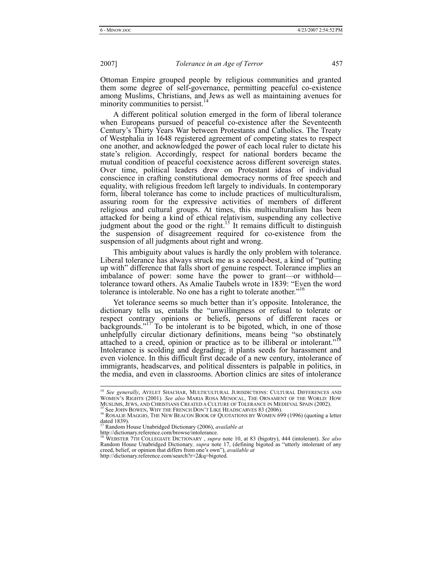Ottoman Empire grouped people by religious communities and granted them some degree of self-governance, permitting peaceful co-existence among Muslims, Christians, and Jews as well as maintaining avenues for minority communities to persist.<sup>1</sup>

A different political solution emerged in the form of liberal tolerance when Europeans pursued of peaceful co-existence after the Seventeenth Century's Thirty Years War between Protestants and Catholics. The Treaty of Westphalia in 1648 registered agreement of competing states to respect one another, and acknowledged the power of each local ruler to dictate his state's religion. Accordingly, respect for national borders became the mutual condition of peaceful coexistence across different sovereign states. Over time, political leaders drew on Protestant ideas of individual conscience in crafting constitutional democracy norms of free speech and equality, with religious freedom left largely to individuals. In contemporary form, liberal tolerance has come to include practices of multiculturalism, assuring room for the expressive activities of members of different religious and cultural groups. At times, this multiculturalism has been attacked for being a kind of ethical relativism, suspending any collective judgment about the good or the right.<sup>15</sup> It remains difficult to distinguish the suspension of disagreement required for co-existence from the suspension of all judgments about right and wrong.

This ambiguity about values is hardly the only problem with tolerance. Liberal tolerance has always struck me as a second-best, a kind of "putting up with" difference that falls short of genuine respect. Tolerance implies an imbalance of power: some have the power to grant—or withhold tolerance toward others. As Amalie Taubels wrote in 1839: "Even the word tolerance is intolerable. No one has a right to tolerate another."<sup>16</sup>

Yet tolerance seems so much better than it's opposite. Intolerance, the dictionary tells us, entails the "unwillingness or refusal to tolerate or respect contrary opinions or beliefs, persons of different races or backgrounds."<sup>17</sup> To be intolerant is to be bigoted, which, in one of those unhelpfully circular dictionary definitions, means being "so obstinately attached to a creed, opinion or practice as to be illiberal or intolerant."<sup>18</sup> Intolerance is scolding and degrading; it plants seeds for harassment and even violence. In this difficult first decade of a new century, intolerance of immigrants, headscarves, and political dissenters is palpable in politics, in the media, and even in classrooms. Abortion clinics are sites of intolerance

 <sup>14</sup> *See generally*, AYELET SHACHAR, MULTICULTURAL JURISDICTIONS: CULTURAL DIFFERENCES AND WOMEN'S RIGHTS (2001). *See also* MARIA ROSA MENOCAL, THE ORNAMENT OF THE WORLD: HOW MUSLIMS, JEWS, AND CHRISTIANS CREATED A CULTURE OF TOLERANCE IN MEDIEVAL SPAIN (2002).<br><sup>15</sup> See JOHN BOWEN, WHY THE FRENCH DON'T LIKE HEADSCARVES 83 (2006).<br><sup>16</sup> ROSALIE MAGGIO, THE NEW BEACON BOOK OF QUOTATIONS BY WOMEN 6

dated 1839). 17 Random House Unabridged Dictionary (2006), *available at*

http://dictionary.reference.com/browse/intolerance.<br><sup>18</sup> WEBSTER 7TH COLLEGIATE DICTIONARY, *supra* note 10, at 83 (bigotry), 444 (intolerant). *See also*<br>Random House Unabridged Dictionary, *supra* note 17, (defining bigo creed, belief, or opinion that differs from one's own"), *available at* http://dictionary.reference.com/search?r=2&q=bigoted.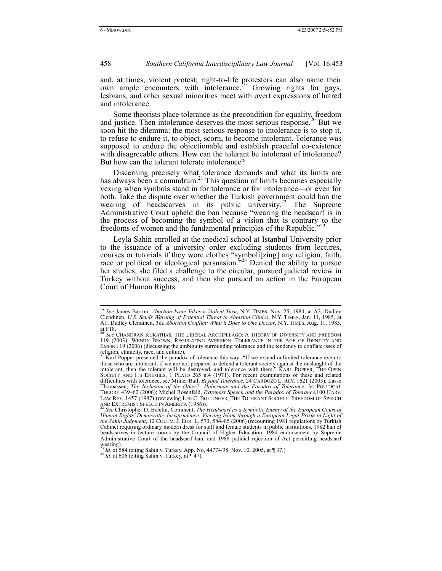and, at times, violent protest; right-to-life protesters can also name their own ample encounters with intolerance.<sup>19</sup> Growing rights for gays, lesbians, and other sexual minorities meet with overt expressions of hatred and intolerance.

Some theorists place tolerance as the precondition for equality, freedom and justice. Then intolerance deserves the most serious response.<sup>20</sup> But we soon hit the dilemma: the most serious response to intolerance is to stop it, to refuse to endure it, to object, scorn, to become intolerant. Tolerance was supposed to endure the objectionable and establish peaceful co-existence with disagreeable others. How can the tolerant be intolerant of intolerance? But how can the tolerant tolerate intolerance?

Discerning precisely what tolerance demands and what its limits are has always been a conundrum.<sup>21</sup> This question of limits becomes especially vexing when symbols stand in for tolerance or for intolerance—or even for both. Take the dispute over whether the Turkish government could ban the wearing of headscarves in its public university.<sup>22</sup> The Supreme Administrative Court upheld the ban because "wearing the headscarf is in the process of becoming the symbol of a vision that is contrary to the freedoms of women and the fundamental principles of the Republic."

Leyla Sahin enrolled at the medical school at Istanbul University prior to the issuance of a university order excluding students from lectures, courses or tutorials if they wore clothes "symboli[zing] any religion, faith, race or political or ideological persuasion."<sup>24</sup> Denied the ability to pursue her studies, she filed a challenge to the circular, pursued judicial review in Turkey without success, and then she pursued an action in the European Court of Human Rights.

<sup>&</sup>lt;sup>19</sup> See James Barron, *Abortion Issue Takes a Violent Turn*, N.Y. TIMES, Nov. 25, 1984, at A2; Dudley Clendinen, *U.S. Sends Warning of Potential Threat to Abortion Clinics*, N.Y. TIMES, Jan. 11, 1985, at A1; Dudley Clendinen, *The Abortion Conflict: What it Does to One Doctor*, N.Y. TIMES, Aug. 11, 1985, at  $F18$ .

<sup>20</sup> *See* CHANDRAN KUKATHAS, THE LIBERAL ARCHIPELAGO: A THEORY OF DIVERSITY AND FREEDOM 119 (2003); WENDY BROWN, REGULATING AVERSION: TOLERANCE IN THE AGE OF IDENTITY AND EMPIRE 19 (2006) (discussing the ambiguity surrounding tolerance and the tendency to conflate isses of religion, ethnicity, race, and culture).<br><sup>21</sup> Karl Popper presented the paradox of tolerance this way: "If we extend unlimited tolerance even to

those who are intolerant, if we are not prepared to defend a tolerant society against the onslaught of the intolerant, then the tolerant will be destroyed, and tolerance with them." KARL POPPER, THE OPEN SOCIETY AND ITS EN difficulties with tolerance, see Milner Ball, *Beyond Tolerance*, 24 CARDOZO L. REV. 1621 (2003); Lasse Thomassen, *The Inclusion of the Other?: Habermas and the Paradox of Tolerance*, 34 POLITICAL THEORY 439–62 (2006); Michel Rosenfeld, *Extremist Speech and the Paradox of Tolerance*,100 HARV. LAW REV. 1457 (1987) (reviewing LEE C. BOLLINGER, THE TOLERANT SOCIETY: FREEDOM OF SPEECH AND EXTREMIST SPEECH IN AMERICA (1986)).<br><sup>22</sup> *See* Christopher D. Beleliu, Comment, *The Headscarf as a Symbolic Enemy of the European Court of* 

*Human Rights' Democratic Jurisprudence: Viewing Islam through a European Legal Prism in Light of the Sahin Judgment*, 12 COLUM. J. EUR. L. 573, 584–85 (2006) (recounting 1981 regulations by Turkish Cabinet requiring ordinary modern dress for staff and female students in public institutions, 1982 ban of headscarves in lecture rooms by the Council of Higher Education, 1984 endorsement by Supreme Administrative Court of the headscarf ban, and 1988 judicial rejection of Act permitting headscarf wearing).

<sup>&</sup>lt;sup>23</sup> *Id.* at 584 (citing Sahin v. Turkey, App. No, 44774/98. Nov. 10, 2005, at ¶ 37.) <sup>24</sup> *Id.* at 606 (citing Sahin v. Turkey, at ¶ 47).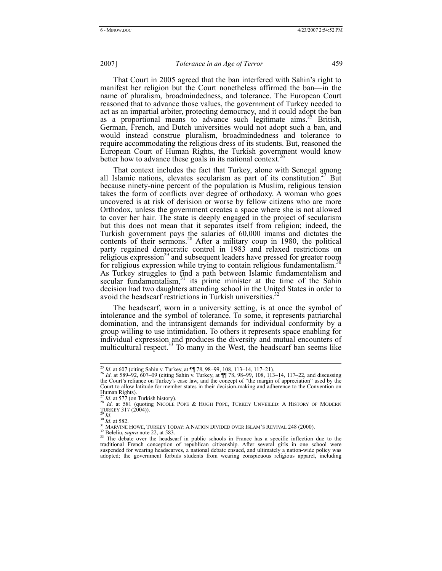That Court in 2005 agreed that the ban interfered with Sahin's right to manifest her religion but the Court nonetheless affirmed the ban—in the name of pluralism, broadmindedness, and tolerance. The European Court reasoned that to advance those values, the government of Turkey needed to act as an impartial arbiter, protecting democracy, and it could adopt the ban as a proportional means to advance such legitimate  $\text{aims.}^{25}$  British, German, French, and Dutch universities would not adopt such a ban, and would instead construe pluralism, broadmindedness and tolerance to require accommodating the religious dress of its students. But, reasoned the European Court of Human Rights, the Turkish government would know better how to advance these goals in its national context.<sup>26</sup>

That context includes the fact that Turkey, alone with Senegal among all Islamic nations, elevates secularism as part of its constitution.<sup>27</sup> But because ninety-nine percent of the population is Muslim, religious tension takes the form of conflicts over degree of orthodoxy. A woman who goes uncovered is at risk of derision or worse by fellow citizens who are more Orthodox, unless the government creates a space where she is not allowed to cover her hair. The state is deeply engaged in the project of secularism but this does not mean that it separates itself from religion; indeed, the Turkish government pays the salaries of 60,000 imams and dictates the contents of their sermons.<sup>28</sup> After a military coup in 1980, the political party regained democratic control in 1983 and relaxed restrictions on religious expression<sup>29</sup> and subsequent leaders have pressed for greater room for religious expression while trying to contain religious fundamentalism.<sup>30</sup> As Turkey struggles to find a path between Islamic fundamentalism and secular fundamentalism, $31$  its prime minister at the time of the Sahin decision had two daughters attending school in the United States in order to avoid the headscarf restrictions in Turkish universities.<sup>3</sup>

The headscarf, worn in a university setting, is at once the symbol of intolerance and the symbol of tolerance. To some, it represents patriarchal domination, and the intransigent demands for individual conformity by a group willing to use intimidation. To others it represents space enabling for individual expression and produces the diversity and mutual encounters of multicultural respect. $33$  To many in the West, the headscarf ban seems like

<sup>&</sup>lt;sup>25</sup> *Id.* at 607 (citing Sahin v. Turkey, at  $\P\P$  78, 98–99, 108, 113–14, 117–21).<br><sup>26</sup> *Id.* at 589–92, 607–09 (citing Sahin v. Turkey, at  $\P\P$  78, 98–99, 108, 113–14, 117–22, and discussing the Court's reliance on Turkey's case law, and the concept of "the margin of appreciation" used by the Court to allow latitude for member states in their decision-making and adherence to the Convention on Human Rights).<br> $^{27}$  *Id.* at 577 (on Turkish history).

<sup>&</sup>lt;sup>27</sup> *Id.* at 577 (on Turkish history).<br><sup>28</sup> *Id.* at 581 (quoting NICOLE POPE & HUGH POPE, TURKEY UNVEILED: A HISTORY OF MODERN TURKEY 317 (2004)).<br><sup>29</sup> *Id.*<br><sup>31</sup> *Id.* at 582.<br><sup>31</sup> MARVINE HOWE, TURKEY TODAY: A NATION DIVIDED OVER ISLAM'S REVIVAL 248 (2000).<br><sup>32</sup> Beleliu, *supra* note 22, at 583.<br><sup>33</sup> The debate over the headscarf in public schoo

 $33$  The debate over the headscarf in public schools in France has a specific inflection due to the traditional French conception of republican citizenship. After several girls in one school were suspended for wearing headscarves, a national debate ensued, and ultimately a nation-wide policy was adopted; the government forbids students from wearing conspicuous religious apparel, including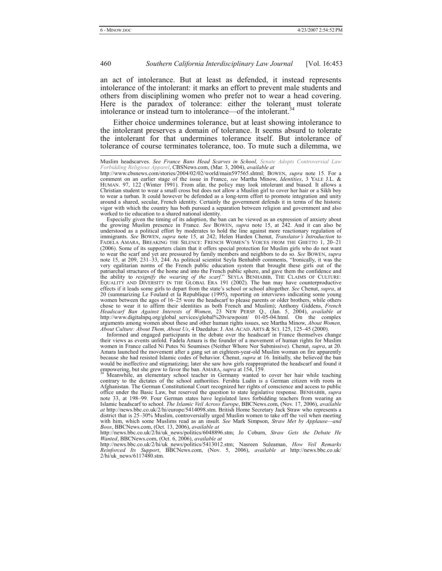an act of intolerance. But at least as defended, it instead represents intolerance of the intolerant: it marks an effort to prevent male students and others from disciplining women who prefer not to wear a head covering. Here is the paradox of tolerance: either the tolerant must tolerate intolerance or instead turn to intolerance—of the intolerant.<sup>3</sup>

Either choice undermines tolerance, but at least showing intolerance to the intolerant preserves a domain of tolerance. It seems absurd to tolerate the intolerant for that undermines tolerance itself. But intolerance of tolerance of course terminates tolerance, too. To mute such a dilemma, we

the growing Muslim presence in France. *See* BOWEN, *supra* note 15, at 242. And it can also be understood as a political effort by moderates to hold the line against more reactionary regulation of immigrants. *See* BOWEN, *supra* note 15, at 242; Helen Harden Chenut, *Translator's Introduction* to FADELA AMARA, BREAKING THE SILENCE: FRENCH WOMEN'S VOICES FROM THE GHETTO 1, 20–21 (2006). Some of its supporters claim that it offers special protection for Muslim girls who do not want to wear the scarf and yet are pressured by family members and neighbors to do so. *See* BOWEN, *supra* note 15, at 209, 231–33, 244. As political scientist Seyla Benhabib comments, "Ironically, it was the very egalitarian norms of the French public education system that brought these girls out of the patriarchal structures of the home and into the French public sphere, and gave them the confidence and the ability to *resignify the wearing of the scarf*." SEYLA BENHABIB, THE CLAIMS OF CULTURE: EQUALITY AND DIVERSITY IN THE GLOBAL ERA 191 (2002). The ban may have counterproductive effects if it leads some girls to depart from the state's school or school altogether. *See* Chenut, *supra*, at 20 (summarizing Le Foulard et la Republique (1995), reporting on interviews indicating some young women between the ages of 16–25 wore the headscarf to please parents or older brothers, while others chose to wear it to affirm their identities as both French and Muslim); Anthony Giddens, *French Headscarf Ban Against Interests of Women*, 23 NEW PERSP. Q., (Jan. 5, 2004), *available at* http://www.digitalnpq.org/global\_services/global%20viewpoint/ 01-05-04.html. On the complex arguments among women about these and other human rights issues, see Martha Minow, *About Women, About Culture: About Them, About Us*, 4 Daedalus: J. AM. ACAD. ARTS & SCI. 125, 125–45 (2000).

Informed and engaged participants in the debate over the headscarf in France themselves change their views as events unfold. Fadela Amara is the founder of a movement of human rights for Muslim women in France called Ni Putes Ni Soumises (Neither Whore Nor Submissive). Chenut, *supra*, at 20. Amara launched the movement after a gang set an eighteen-year-old Muslim woman on fire apparently because she had resisted Islamic codes of behavior. Chenut, *supra* at 16. Initially, she believed the ban would be ineffective and stigmatizing; later she saw how girls reappropriated the headscarf and found it empowering, but she grew to favor the ban. AMARA, *supra* at 154, 159.<br><sup>34</sup> Meanwhile, an elementary school teacher in Germany wanted to cover her hair while teaching

contrary to the dictates of the school authorities. Fershta Ludin is a German citizen with roots in Afghanistan. The German Constitutional Court recognized her rights of conscience and access to public office under the Basic Law, but reserved the question to state legislative response. BENHABIB, *supra* note 33, at 198–99. Four German states have legislated laws forbidding teachers from wearing an Islamic headscarf to school. *The Islamic Veil Across Europe*, BBCNews.com, (Nov. 17, 2006), *available at* http://news.bbc.co.uk/2/hi/europe/5414098.stm. British Home Secretary Jack Straw who represents a district that is 25–30% Muslim, controversially urged Muslim women to take off the veil when meeting with him, which some Muslims read as an insult. *See* Mark Simpson, *Straw Met by Applause—and Boos*, BBCNews.com, (Oct. 13, 2006), *available at*

http://news.bbc.co.uk/2/hi/uk\_news/politics/6048896.stm; Jo Coburn, *Straw Gets the Debate He Wanted*, BBCNews.com, (Oct. 6, 2006), *available at*

http://news.bbc.co.uk/2/hi/uk\_news/politics/5413012.stm; Nasreen Suleaman, *How Veil Remarks Reinforced Its Support*, BBCNews.com, (Nov. 5, 2006), *available at* http://news.bbc.co.uk/ 2/hi/uk\_news/6117480.stm.

Muslim headscarves. *See France Bans Head Scarves in School, Senate Adopts Controversial Law Forbidding Religious Apparel*, CBSNews.com, (Mar. 3, 2004), *available at*

http://www.cbsnews.com/stories/2004/02/02/world/main597565.shtml; BOWEN, *supra* note 15. For a comment on an earlier stage of the issue in France, *see* Martha Minow, *Identities*, 3 YALE J.L. & HUMAN. 97, 122 (Winter 1991). From afar, the policy may look intolerant and biased. It allows a Christian student to wear a small cross but does not allow a Muslim girl to cover her hair or a Sikh boy to wear a turban. It could however be defended as a long-term effort to promote integration and unity around a shared, secular, French identity. Certainly the government defends it in terms of the historic vigor with which the country has both pursued a separation between religion and government and also worked to tie education to a shared national identity. Especially given the timing of its adoption, the ban can be viewed as an expression of anxiety about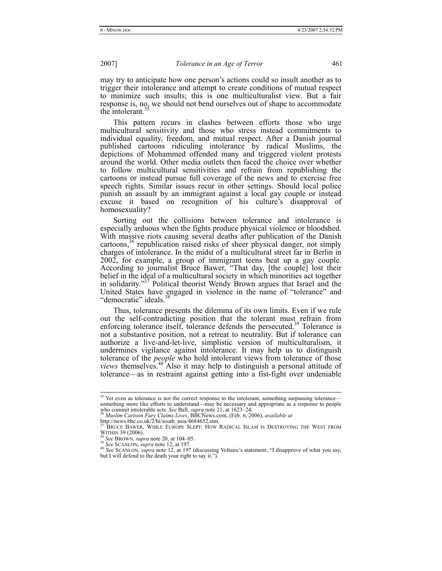may try to anticipate how one person's actions could so insult another as to trigger their intolerance and attempt to create conditions of mutual respect to minimize such insults; this is one multiculturalist view. But a fair response is, no, we should not bend ourselves out of shape to accommodate the intolerant.<sup>3</sup>

This pattern recurs in clashes between efforts those who urge multicultural sensitivity and those who stress instead commitments to individual equality, freedom, and mutual respect. After a Danish journal published cartoons ridiculing intolerance by radical Muslims, the depictions of Mohammed offended many and triggered violent protests around the world. Other media outlets then faced the choice over whether to follow multicultural sensitivities and refrain from republishing the cartoons or instead pursue full coverage of the news and to exercise free speech rights. Similar issues recur in other settings. Should local police punish an assault by an immigrant against a local gay couple or instead excuse it based on recognition of his culture's disapproval of homosexuality?

Sorting out the collisions between tolerance and intolerance is especially arduous when the fights produce physical violence or bloodshed. With massive riots causing several deaths after publication of the Danish cartoons,  $36$  republication raised risks of sheer physical danger, not simply charges of intolerance. In the midst of a multicultural street far in Berlin in 2002, for example, a group of immigrant teens beat up a gay couple. According to journalist Bruce Bawer, "That day, [the couple] lost their belief in the ideal of a multicultural society in which minorities act together in solidarity."37 Political theorist Wendy Brown argues that Israel and the United States have engaged in violence in the name of "tolerance" and "democratic" ideals.<sup>38</sup>

Thus, tolerance presents the dilemma of its own limits. Even if we rule out the self-contradicting position that the tolerant must refrain from enforcing tolerance itself, tolerance defends the persecuted.<sup>39</sup> Tolerance is not a substantive position, not a retreat to neutrality. But if tolerance can authorize a live-and-let-live, simplistic version of multiculturalism, it undermines vigilance against intolerance. It may help us to distinguish tolerance of the *people* who hold intolerant views from tolerance of those *views* themselves.40 Also it may help to distinguish a personal attitude of tolerance—as in restraint against getting into a fist-fight over undeniable

<sup>&</sup>lt;sup>35</sup> Yet even as tolerance is not the correct response to the intolerant, something surpassing tolerance something more like efforts to understand—may be necessary and appropriate as a response to people<br>who commit intolerable acts. See Ball, *supra* note 21, at 1623–24.<br><sup>36</sup> Muslim Cartoon Fury Claims Lives, BBCNews.com, (Fe

http://news.bbc.co.uk/2/hi/south\_asia/4684652.stm.<br><sup>37</sup> BRUCE BAWER, WHILE EUROPE SLEPT: HOW RADICAL ISLAM IS DESTROYING THE WEST FROM WITHIN 39 (2006).

<sup>&</sup>lt;sup>38</sup> See BROWN, *supra* note 20, at 104–05.<br><sup>39</sup> See SCANLON, *supra* note 12, at 197.<br><sup>40</sup> See SCANLON, *supra* note 12, at 197 (discussing Voltaire's statement, "I disapprove of what you say, but I will defend to the death your right to say it.").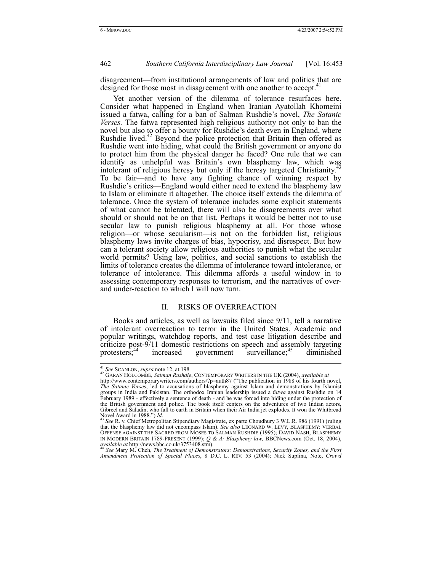disagreement—from institutional arrangements of law and politics that are designed for those most in disagreement with one another to accept.<sup>41</sup>

Yet another version of the dilemma of tolerance resurfaces here. Consider what happened in England when Iranian Ayatollah Khomeini issued a fatwa, calling for a ban of Salman Rushdie's novel, *The Satanic Verses.* The fatwa represented high religious authority not only to ban the novel but also to offer a bounty for Rushdie's death even in England, where Rushdie lived.<sup>42</sup> Beyond the police protection that Britain then offered as Rushdie went into hiding, what could the British government or anyone do to protect him from the physical danger he faced? One rule that we can identify as unhelpful was Britain's own blasphemy law, which was intolerant of religious heresy but only if the heresy targeted Christianity.<sup>4</sup> To be fair—and to have any fighting chance of winning respect by Rushdie's critics—England would either need to extend the blasphemy law to Islam or eliminate it altogether. The choice itself extends the dilemma of tolerance. Once the system of tolerance includes some explicit statements of what cannot be tolerated, there will also be disagreements over what should or should not be on that list. Perhaps it would be better not to use secular law to punish religious blasphemy at all. For those whose religion—or whose secularism—is not on the forbidden list, religious blasphemy laws invite charges of bias, hypocrisy, and disrespect. But how can a tolerant society allow religious authorities to punish what the secular world permits? Using law, politics, and social sanctions to establish the limits of tolerance creates the dilemma of intolerance toward intolerance, or tolerance of intolerance. This dilemma affords a useful window in to assessing contemporary responses to terrorism, and the narratives of overand under-reaction to which I will now turn.

# II. RISKS OF OVERREACTION

Books and articles, as well as lawsuits filed since 9/11, tell a narrative of intolerant overreaction to terror in the United States. Academic and popular writings, watchdog reports, and test case litigation describe and criticize post-9/11 domestic restrictions on speech and assembly targeting protesters;  $44$  increased government surveillance; diminished government surveillance; $45$  diminished

<sup>41</sup> *See* SCANLON, *supra* note 12, at 198. 42 GARAN HOLCOMBE, *Salman Rushdie*, CONTEMPORARY WRITERS IN THE UK (2004), *available at*

http://www.contemporarywriters.com/authors/?p=auth87 ("The publication in 1988 of his fourth novel, *The Satanic Verses*, led to accusations of blasphemy against Islam and demonstrations by Islamist groups in India and Pakistan. The orthodox Iranian leadership issued a *fatwa* against Rushdie on 14 February 1989 - effectively a sentence of death - and he was forced into hiding under the protection of the British government and police. The book itself centers on the adventures of two Indian actors, Gibreel and Saladin, who fall to earth in Britain when their Air India jet explodes. It won the Whitbread Novel Award in 1988.") *Id*. 43 *See* R. v. Chief Metropolitan Stipendiary Magistrate, ex parte Choudhury 3 W.L.R. 986 (1991) (ruling

that the blasphemy law did not encompass Islam). *See also* LEONARD W. LEVY, BLASPHEMY: VERBAL OFFENSE AGAINST THE SACRED FROM MOSES TO SALMAN RUSHDIE (1995); DAVID NASH, BLASPHEMY IN MODERN BRITAIN 1789-PRESENT (1999); *Q & A: Blasphemy law*, BBCNews.com (Oct. 18, 2004), *available at* http://news.bbc.co.uk/3753408.stm).<br><sup>44</sup> See Mary M. Cheh, *The Treatment of Demonstrators: Demonstrations, Securit* 

*Amendment Protection of Special Places*, 8 D.C. L. REV. 53 (2004); Nick Suplina, Note, *Crowd*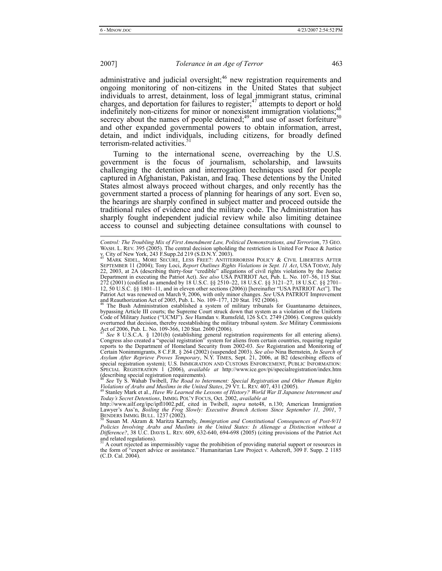l

# 2007] *Tolerance in an Age of Terror* 463

administrative and judicial oversight;<sup>46</sup> new registration requirements and ongoing monitoring of non-citizens in the United States that subject individuals to arrest, detainment, loss of legal immigrant status, criminal charges, and deportation for failures to register; $47$  attempts to deport or hold indefinitely non-citizens for minor or nonexistent immigration violations; secrecy about the names of people detained; $49$  and use of asset forfeiture $50$ and other expanded governmental powers to obtain information, arrest, detain, and indict individuals, including citizens, for broadly defined terrorism-related activities.<sup>5</sup>

Turning to the international scene, overreaching by the U.S. government is the focus of journalism, scholarship, and lawsuits challenging the detention and interrogation techniques used for people captured in Afghanistan, Pakistan, and Iraq. These detentions by the United States almost always proceed without charges, and only recently has the government started a process of planning for hearings of any sort. Even so, the hearings are sharply confined in subject matter and proceed outside the traditional rules of evidence and the military code. The Administration has sharply fought independent judicial review while also limiting detainee access to counsel and subjecting detainee consultations with counsel to

and Reauthorization Act of 2005, Pub. L. No. 109–177, 120 Stat. 192 (2006). 46 The Bush Administration established a system of military tribunals for Guantanamo detainees, bypassing Article III courts; the Supreme Court struck down that system as a violation of the Uniform Code of Military Justice ("UCMJ"). *See* Hamdan v. Rumsfeld, 126 S.Ct. 2749 (2006). Congress quickly overturned that decision, thereby reestablishing the military tribunal system. *See* Military Commissions Act of 2006, Pub. L. No. 109-366, 120 Stat. 2600 (2006).

<sup>47</sup> *See* 8 U.S.C.A. § 1201(b) (establishing general registration requirements for all entering aliens). Congress also created a "special registration" system for aliens from certain countries, requiring regular reports to the Department of Homeland Security from 2002-03. *See* Registration and Monitoring of Certain Nonimmigrants, 8 C.F.R. § 264 (2002) (suspended 2003). *See also* Nina Bernstein, *In Search of Asylum After Reprieve Proves Temporary*, N.Y. TIMES, Sept. 21, 2006, at B2 (describing effects of special registration system); U.S. IMMIGRATION AND CUSTOMS ENFORCEMENT, PUBLIC INFORMATION: SPECIAL REGISTRATION 1 (2006), *available at* http://www.ice.gov/pi/specialregistration/index.htm (describing special registration requirements).

<sup>48</sup> *See* Ty S. Wahab Twibell, *The Road to Internment: Special Registration and Other Human Rights Violations of Arabs and Muslims in the United States*, 29 VT. L. REV. 407, 431 (2005). 49 Stanley Mark et al., *Have We Learned the Lessons of History? World War II Japanese Internment and* 

*Today's Secret Detentions*, IMMIG. POL'Y FOCUS, Oct. 2002, *available at*

*Control: The Troubling Mix of First Amendment Law, Political Demonstrations, and Terrorism*, 73 GEO. WASH. L. REV. 395 (2005). The central decision upholding the restriction is United For Peace & Justice<br>v. City of New York, 243 F.Supp.2d 219 (S.D.N.Y. 2003).<br><sup>45</sup> MARK SIDEL, MORE SECURE, LESS FREE?: ANTITERRORISM POLICY

SEPTEMBER 11 (2004); Tony Loci, *Report Outlines Rights Violations in Sept. 11 Act*, USA TODAY, July 22, 2003, at 2A (describing thirty-four "credible" allegations of civil rights violations by the Justice Department in executing the Patriot Act). *See also* USA PATRIOT Act, Pub. L. No. 107–56, 115 Stat. 272 (2001) (codified as amended by 18 U.S.C. §§ 2510–22, 18 U.S.C. §§ 3121–27, 18 U.S.C. §§ 2701– 12, 50 U.S.C. §§ 1801–11, and in eleven other sections (2006)) [hereinafter "USA PATRIOT Act"]. The Patriot Act was renewed on March 9, 2006, with only minor changes. *See* USA PATRIOT Improvement

http://www.ailf.org/ipc/ipfl1002.pdf, cited in Twibell, *supra* note48, n.130; American Immigration Lawyer's Ass'n, *Boiling the Frog Slowly: Executive Branch Actions Since September 11, 2001*, 7

BENDERS IMMIG. BULL. 1237 (2002).<br><sup>50</sup> Susan M. Akram & Maritza Karmely, *Immigration and Constitutional Consequences of Post-9/11*<br>Policies Involving Arabs and Muslims in the United States: Is Alienage a Distinction witho *Difference?*, 38 U.C. DAVIS L. REV. 609, 632-640, 694-698 (2005) (citing provisions of the Patriot Act and related regulations).<br><sup>51</sup> A court rejected as impermissibly vague the prohibition of providing material support or resources in

the form of "expert advice or assistance." Humanitarian Law Project v. Ashcroft, 309 F. Supp. 2 1185 (C.D. Cal. 2004).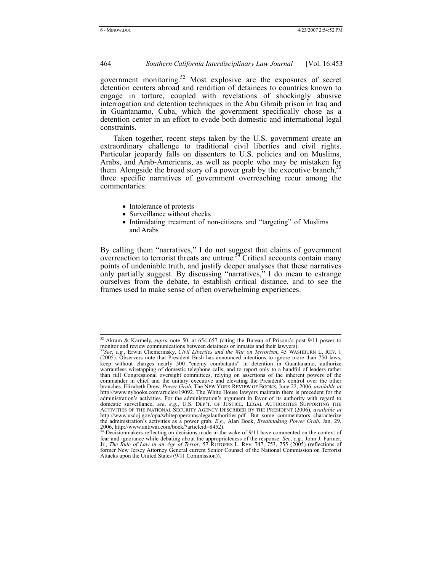government monitoring.<sup>52</sup> Most explosive are the exposures of secret detention centers abroad and rendition of detainees to countries known to engage in torture, coupled with revelations of shockingly abusive interrogation and detention techniques in the Abu Ghraib prison in Iraq and in Guantanamo, Cuba, which the government specifically chose as a detention center in an effort to evade both domestic and international legal constraints.

Taken together, recent steps taken by the U.S. government create an extraordinary challenge to traditional civil liberties and civil rights. Particular jeopardy falls on dissenters to U.S. policies and on Muslims, Arabs, and Arab-Americans, as well as people who may be mistaken for them. Alongside the broad story of a power grab by the executive branch,<sup>53</sup> three specific narratives of government overreaching recur among the commentaries:

- Intolerance of protests
- Surveillance without checks
- Intimidating treatment of non-citizens and "targeting" of Muslims and Arabs

By calling them "narratives," I do not suggest that claims of government overreaction to terrorist threats are untrue.<sup>54</sup> Critical accounts contain many points of undeniable truth, and justify deeper analyses that these narratives only partially suggest. By discussing "narratives," I do mean to estrange ourselves from the debate, to establish critical distance, and to see the frames used to make sense of often overwhelming experiences.

 <sup>52</sup> Akram & Karmely, *supra* note 50, at 654-657 (citing the Bureau of Prisons's post 9/11 power to monitor and review communications between detainees or inmates and their lawyers).<br><sup>53</sup>*See*, *e.g.*, Erwin Chemerinsky, *Civil Liberties and the War on Terrorism*, 45 WASHBURN L. REV. 1

<sup>(2005).</sup> Observers note that President Bush has announced intentions to ignore more than 750 laws, keep without charges nearly 500 "enemy combatants" in detention in Guantanamo, authorize warrantless wiretapping of domestic telephone calls, and to report only to a handful of leaders rather than full Congressional oversight committees, relying on assertions of the inherent powers of the commander in chief and the unitary executive and elevating the President's control over the other branches. Elizabeth Drew, *Power Grab*, The NEW YORK REVIEW OF BOOKS, June 22, 2006, *available at*  http://www.nybooks.com/articles/19092. The White House lawyers maintain there is precedent for the administration's activities. For the administration's argument in favor of its authority with regard to domestic surveillance, *see*, *e.g.*, U.S. DEP'T. OF JUSTICE, LEGAL AUTHORITIES SUPPORTING THE ACTIVITIES OF THE NATIONAL SECURITY AGENCY DESCRIBED BY THE PRESIDENT (2006), *available at*  http://www.usdoj.gov/opa/whitepaperonnsalegalauthorities.pdf. But some commentators characterize the administration's activities as a power grab. *E.g.*, Alan Bock, *Breathtaking Power Grab*, Jan. 29, 2006, http://www.antiwar.com/bock/?articleid=8452).<br><sup>54</sup> Decisionmakers reflecting on decisions made in the wake of 9/

fear and ignorance while debating about the appropriateness of the response. *See*, *e.g.*, John J. Farmer, Jr., *The Rule of Law in an Age of Terror*, 57 RUTGERS L. REV. 747, 753, 755 (2005) (reflections of former New Jersey Attorney General current Senior Counsel of the National Commission on Terrorist Attacks upon the United States (9/11 Commission)).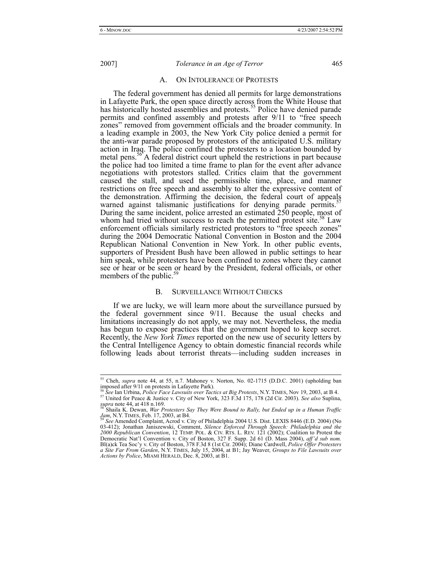#### A. ON INTOLERANCE OF PROTESTS

The federal government has denied all permits for large demonstrations in Lafayette Park, the open space directly across from the White House that has historically hosted assemblies and protests.<sup>55</sup> Police have denied parade permits and confined assembly and protests after 9/11 to "free speech zones" removed from government officials and the broader community. In a leading example in 2003, the New York City police denied a permit for the anti-war parade proposed by protestors of the anticipated U.S. military action in Iraq. The police confined the protesters to a location bounded by metal pens.<sup>56</sup> A federal district court upheld the restrictions in part because the police had too limited a time frame to plan for the event after advance negotiations with protestors stalled. Critics claim that the government caused the stall, and used the permissible time, place, and manner restrictions on free speech and assembly to alter the expressive content of the demonstration. Affirming the decision, the federal court of appeals warned against talismanic justifications for denying parade permits.<sup>5</sup> During the same incident, police arrested an estimated  $250$  people, most of whom had tried without success to reach the permitted protest site.<sup>58</sup> Law enforcement officials similarly restricted protestors to "free speech zones" during the 2004 Democratic National Convention in Boston and the 2004 Republican National Convention in New York. In other public events, supporters of President Bush have been allowed in public settings to hear him speak, while protesters have been confined to zones where they cannot see or hear or be seen or heard by the President, federal officials, or other members of the public.<sup>5</sup>

#### B. SURVEILLANCE WITHOUT CHECKS

If we are lucky, we will learn more about the surveillance pursued by the federal government since 9/11. Because the usual checks and limitations increasingly do not apply, we may not. Nevertheless, the media has begun to expose practices that the government hoped to keep secret. Recently, the *New York Times* reported on the new use of security letters by the Central Intelligence Agency to obtain domestic financial records while following leads about terrorist threats—including sudden increases in

 <sup>55</sup> Cheh, *supra* note 44, at 55, n.7. Mahoney v. Norton, No. 02-1715 (D.D.C. 2001) (upholding ban imposed after 9/11 on protests in Lafayette Park).<br><sup>56</sup> See Ian Urbina, *Police Face Lawsuits over Tactics at Big Protests*, N.Y. TIMES, Nov 19, 2003, at B 4.

<sup>&</sup>lt;sup>57</sup> United for Peace & Justice v. City of New York, 323 F.3d 175, 178 (2d Cir. 2003). See also Suplina,

*supra* note 44, at 418 n.169.<br><sup>58</sup> Shaila K. Dewan, *War Protesters Say They Were Bound to Rally, but Ended up in a Human Traffic Jam, N.Y. TIMES, Feb. 17, 2003, at B4.* 

Jam, N.Y. TIMES, Feb. 17, 2003, at B4.<br><sup>59</sup> See Amended Complaint, Acrod v. City of Philadelphia 2004 U.S. Dist. LEXIS 8446 (E.D. 2004) (No<br>03-412); Jonathan Janiszewski, Comment, *Silence Enforced Through Speech: Philadel 2000 Republican Convention*, 12 TEMP. POL. & CIV. RTS. L. REV. 121 (2002); Coalition to Protest the Democratic Nat'l Convention v. City of Boston, 327 F. Supp. 2d 61 (D. Mass 2004), *aff'd sub nom.* Bl(a)ck Tea Soc'y v. City of Boston, 378 F.3d 8 (1st Cir. 2004); Diane Cardwell, *Police Offer Protesters a Site Far From Garden*, N.Y. TIMES, July 15, 2004, at B1; Jay Weaver, *Groups to File Lawsuits over Actions by Police*, MIAMI HERALD, Dec. 8, 2003, at B1.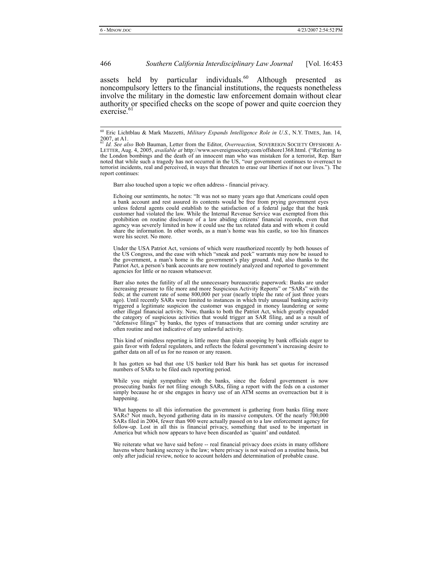assets held by particular individuals. $60$  Although presented as noncompulsory letters to the financial institutions, the requests nonetheless involve the military in the domestic law enforcement domain without clear authority or specified checks on the scope of power and quite coercion they exercise.

Barr also touched upon a topic we often address - financial privacy.

Echoing our sentiments, he notes: "It was not so many years ago that Americans could open a bank account and rest assured its contents would be free from prying government eyes unless federal agents could establish to the satisfaction of a federal judge that the bank customer had violated the law. While the Internal Revenue Service was exempted from this prohibition on routine disclosure of a law abiding citizens' financial records, even that agency was severely limited in how it could use the tax related data and with whom it could share the information. In other words, as a man's home was his castle, so too his finances were his secret. No more.

Under the USA Patriot Act, versions of which were reauthorized recently by both houses of the US Congress, and the ease with which "sneak and peek" warrants may now be issued to the government, a man's home is the government's play ground. And, also thanks to the Patriot Act, a person's bank accounts are now routinely analyzed and reported to government agencies for little or no reason whatsoever.

Barr also notes the futility of all the unnecessary bureaucratic paperwork: Banks are under increasing pressure to file more and more Suspicious Activity Reports" or "SARs" with the feds; at the current rate of some 800,000 per year (nearly triple the rate of just three years ago). Until recently SARs were limited to instances in which truly unusual banking activity triggered a legitimate suspicion the customer was engaged in money laundering or some other illegal financial activity. Now, thanks to both the Patriot Act, which greatly expanded the category of suspicious activities that would trigger an SAR filing, and as a result of "defensive filings" by banks, the types of transactions that are coming under scrutiny are often routine and not indicative of any unlawful activity.

This kind of mindless reporting is little more than plain snooping by bank officials eager to gain favor with federal regulators, and reflects the federal government's increasing desire to gather data on all of us for no reason or any reason.

It has gotten so bad that one US banker told Barr his bank has set quotas for increased numbers of SARs to be filed each reporting period.

While you might sympathize with the banks, since the federal government is now prosecuting banks for not filing enough SARs, filing a report with the feds on a customer simply because he or she engages in heavy use of an ATM seems an overreaction but it is happening.

What happens to all this information the government is gathering from banks filing more SARs? Not much, beyond gathering data in its massive computers. Of the nearly 700,000 SARs filed in 2004, fewer than 900 were actually passed on to a law enforcement agency for follow-up. Lost in all this is financial privacy, something that used to be important in America but which now appears to have been discarded as 'quaint' and outdated.

We reiterate what we have said before -- real financial privacy does exists in many offshore havens where banking secrecy is the law; where privacy is not waived on a routine basis, but only after judicial review, notice to account holders and determination of probable cause.

 <sup>60</sup> Eric Lichtblau & Mark Mazzetti, *Military Expands Intelligence Role in U.S.*, N.Y. TIMES, Jan. 14,  $2007$ , at A1

<sup>&</sup>lt;sup>1</sup> *Id.* See also Bob Bauman, Letter from the Editor, Overreaction, SOVEREIGN SOCIETY OFFSHORE A-LETTER, Aug. 4, 2005, *available at* http://www.sovereignsociety.com/offshore1368.html. ("Referring to the London bombings and the death of an innocent man who was mistaken for a terrorist, Rep. Barr noted that while such a tragedy has not occurred in the US, "our government continues to overreact to terrorist incidents, real and perceived, in ways that threaten to erase our liberties if not our lives."). The report continues: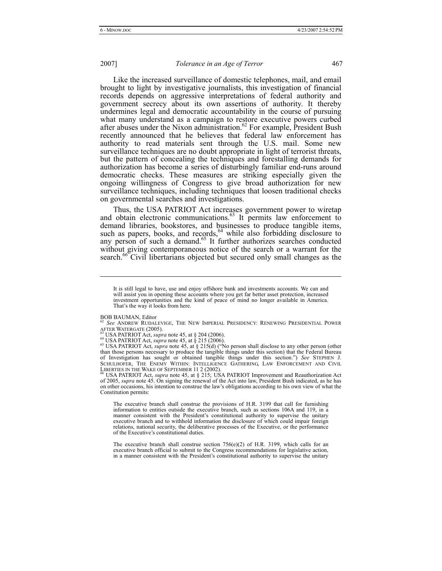Like the increased surveillance of domestic telephones, mail, and email brought to light by investigative journalists, this investigation of financial records depends on aggressive interpretations of federal authority and government secrecy about its own assertions of authority. It thereby undermines legal and democratic accountability in the course of pursuing what many understand as a campaign to restore executive powers curbed after abuses under the Nixon administration.<sup>62</sup> For example, President Bush recently announced that he believes that federal law enforcement has authority to read materials sent through the U.S. mail. Some new surveillance techniques are no doubt appropriate in light of terrorist threats, but the pattern of concealing the techniques and forestalling demands for authorization has become a series of disturbingly familiar end-runs around democratic checks. These measures are striking especially given the ongoing willingness of Congress to give broad authorization for new surveillance techniques, including techniques that loosen traditional checks on governmental searches and investigations.

Thus, the USA PATRIOT Act increases government power to wiretap and obtain electronic communications.<sup>63</sup> It permits law enforcement to demand libraries, bookstores, and businesses to produce tangible items, such as papers, books, and records, $64$  while also forbidding disclosure to any person of such a demand.<sup>65</sup> It further authorizes searches conducted without giving contemporaneous notice of the search or a warrant for the search.<sup>66</sup> Civil libertarians objected but secured only small changes as the

BOB BAUMAN, Editor

l

<sup>62</sup> See ANDREW RUDALEVIGE, THE NEW IMPERIAL PRESIDENCY: RENEWING PRESIDENTIAL POWER<br>AFTER WATERGATE (2005).

<sup>63</sup> USA PATRIOT Act, *supra* note 45, at § 204 (2006).<br><sup>64</sup> USA PATRIOT Act, *supra* note 45, at § 215 (2006).<br><sup>65</sup> USA PATRIOT Act, *supra* note 45, at § 215(d) ("No person shall disclose to any other person (other than those persons necessary to produce the tangible things under this section) that the Federal Bureau of Investigation has sought or obtained tangible things under this section.") *See* STEPHEN J. SCHULHOFER, THE ENEMY WITHIN: INTELLIGENCE GATHERING, LAW ENFORCEMENT AND CIVIL LIBERTIES IN THE WAKE OF SEPTEMBER 11 2 (2002).<br><sup>66</sup> USA PATRIOT Act, *supra* note 45, at § 215; USA PATRIOT Improvement and Reauthorization Act

of 2005, *supra* note 45. On signing the renewal of the Act into law, President Bush indicated, as he has on other occasions, his intention to construe the law's obligations according to his own view of what the Constitution permits:

The executive branch shall construe the provisions of H.R. 3199 that call for furnishing information to entities outside the executive branch, such as sections 106A and 119, in a manner consistent with the President's constitutional authority to supervise the unitary executive branch and to withhold information the disclosure of which could impair foreign relations, national security, the deliberative processes of the Executive, or the performance of the Executive's constitutional duties.

The executive branch shall construe section 756(e)(2) of H.R. 3199, which calls for an executive branch official to submit to the Congress recommendations for legislative action, in a manner consistent with the President's constitutional authority to supervise the unitary

It is still legal to have, use and enjoy offshore bank and investments accounts. We can and will assist you in opening these accounts where you get far better asset protection, increased investment opportunities and the kind of peace of mind no longer available in America. That's the way it looks from here.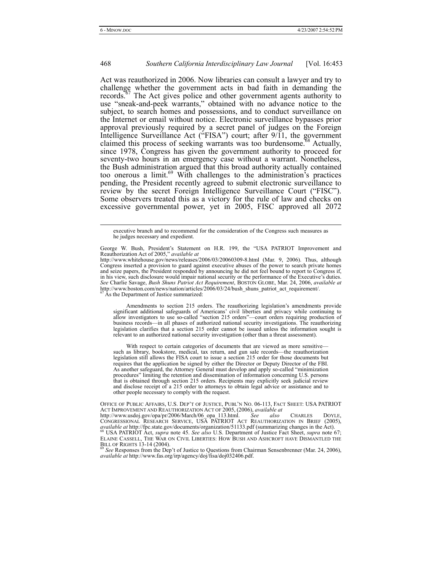Act was reauthorized in 2006. Now libraries can consult a lawyer and try to challenge whether the government acts in bad faith in demanding the records.<sup> $57$ </sup> The Act gives police and other government agents authority to use "sneak-and-peek warrants," obtained with no advance notice to the subject, to search homes and possessions, and to conduct surveillance on the Internet or email without notice. Electronic surveillance bypasses prior approval previously required by a secret panel of judges on the Foreign Intelligence Surveillance Act ("FISA") court; after 9/11, the government claimed this process of seeking warrants was too burdensome.<sup>68</sup> Actually, since 1978, Congress has given the government authority to proceed for seventy-two hours in an emergency case without a warrant. Nonetheless, the Bush administration argued that this broad authority actually contained too onerous a limit. $69$  With challenges to the administration's practices pending, the President recently agreed to submit electronic surveillance to review by the secret Foreign Intelligence Surveillance Court ("FISC"). Some observers treated this as a victory for the rule of law and checks on excessive governmental power, yet in 2005, FISC approved all 2072

http://www.whitehouse.gov/news/releases/2006/03/20060309-8.html (Mar. 9, 2006). Thus, although Congress inserted a provision to guard against executive abuses of the power to search private homes and seize papers, the President responded by announcing he did not feel bound to report to Congress if, in his view, such disclosure would impair national security or the performance of the Executive's duties. *See* Charlie Savage, *Bush Shuns Patriot Act Requirement*, BOSTON GLOBE, Mar. 24, 2006, *available at*  http://www.boston.com/news/nation/articles/2006/03/24/bush\_shuns\_patriot\_act\_requirement/. <sup>67</sup> As the Department of Justice summarized:

Amendments to section 215 orders. The reauthorizing legislation's amendments provide significant additional safeguards of Americans' civil liberties and privacy while continuing to allow investigators to use so-called "section 215 orders"—court orders requiring production of business records—in all phases of authorized national security investigations. The reauthorizing legislation clarifies that a section 215 order cannot be issued unless the information sought is relevant to an authorized national security investigation (other than a threat assessment).

With respect to certain categories of documents that are viewed as more sensitive such as library, bookstore, medical, tax return, and gun sale records—the reauthorization legislation still allows the FISA court to issue a section 215 order for those documents but requires that the application be signed by either the Director or Deputy Director of the FBI. As another safeguard, the Attorney General must develop and apply so-called "minimization procedures" limiting the retention and dissemination of information concerning U.S. persons that is obtained through section 215 orders. Recipients may explicitly seek judicial review and disclose receipt of a 215 order to attorneys to obtain legal advice or assistance and to other people necessary to comply with the request.

<sup>69</sup> See Responses from the Dep't of Justice to Questions from Chairman Sensenbrenner (Mar. 24, 2006), *available at* http://www.fas.org/irp/agency/doj/fisa/doj032406.pdf.

executive branch and to recommend for the consideration of the Congress such measures as he judges necessary and expedient.

George W. Bush, President's Statement on H.R. 199, the "USA PATRIOT Improvement and Reauthorization Act of 2005," *available at* 

OFFICE OF PUBLIC AFFAIRS, U.S. DEP'T OF JUSTICE, PUBL'N NO. 06-113, FACT SHEET: USA PATRIOT ACT IMPROVEMENT AND REAUTHORIZATION ACT OF 2005, (2006), *available at* 

http://www.usdoj.gov/opa/pr/2006/March/06\_opa\_113.html. *See also* CHARLES DOYLE, CONGRESSIONAL RESEARCH SERVICE, USA PATRIOT ACT REAUTHORIZATION IN BRIEF (2005), CONGRESSIONAL RESEARCH SERVICE, USA PATRIOT ACT REAUTHORIZATION IN BRIEF (2005), available at http://fpc.state.gov/documents/organization/51133.pdf (summarizing changes in the Act).<br><sup>68</sup> USA PATRIOT Act, *supra* note 45. *See also* U.S. Department of Justice Fact Sheet, *supra* note 67; ELAINE CASSELL, THE WAR ON CIVIL LIBERTIES: HOW BUSH AND ASHCROFT HAVE DISMANTLED THE<br>BILL OF RIGHTS 13-14 (2004).<br><sup>69</sup> *See* Responses from the Dep't of Justice to Questions from Chairman Sensenbrenner (Mar. 24, 2006),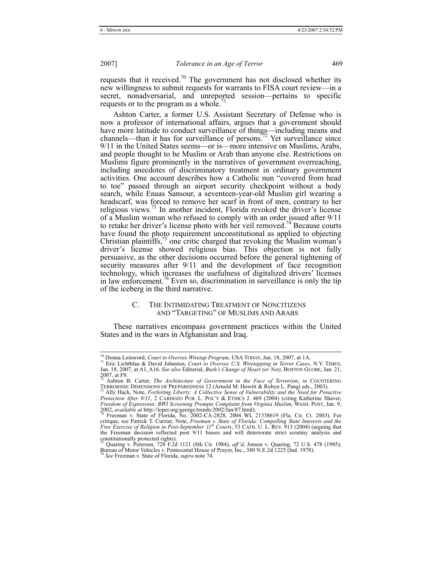requests that it received.<sup>70</sup> The government has not disclosed whether its new willingness to submit requests for warrants to FISA court review—in a secret, nonadversarial, and unreported session—pertains to specific requests or to the program as a whole.<sup>7</sup>

Ashton Carter, a former U.S. Assistant Secretary of Defense who is now a professor of international affairs, argues that a government should have more latitude to conduct surveillance of things—including means and channels—than it has for surveillance of persons.<sup>72</sup> Yet surveillance since 9/11 in the United States seems—or is—more intensive on Muslims, Arabs, and people thought to be Muslim or Arab than anyone else. Restrictions on Muslims figure prominently in the narratives of government overreaching, including anecdotes of discriminatory treatment in ordinary government activities. One account describes how a Catholic nun "covered from head to toe" passed through an airport security checkpoint without a body search, while Enaas Sansour, a seventeen-year-old Muslim girl wearing a headscarf, was forced to remove her scarf in front of men, contrary to her religious views.<sup>73</sup> In another incident, Florida revoked the driver's license of a Muslim woman who refused to comply with an order issued after 9/11 to retake her driver's license photo with her veil removed.<sup>74</sup> Because courts have found the photo requirement unconstitutional as applied to objecting Christian plaintiffs, $\frac{75}{5}$  one critic charged that revoking the Muslim woman's driver's license showed religious bias. This objection is not fully persuasive, as the other decisions occurred before the general tightening of security measures after 9/11 and the development of face recognition technology, which increases the usefulness of digitalized drivers' licenses in law enforcement.<sup>76</sup> Even so, discrimination in surveillance is only the tip of the iceberg in the third narrative.

# C. THE INTIMIDATING TREATMENT OF NONCITIZENS AND "TARGETING" OF MUSLIMS AND ARABS

These narratives encompass government practices within the United States and in the wars in Afghanistan and Iraq.

 <sup>70</sup> Donna Leinword, *Court to Oversee Wiretap Program*, USA TODAY, Jan. 18, 2007, at 1A. 71 Eric Lichtblau & David Johnston, *Court to Oversee U.S. Wiretapping in Terror Cases*, N.Y. TIMES, Jan. 18, 2007, at A1, A16. *See also* Editorial, *Bush's Change of Heart (or Not)*, BOSTON GLOBE, Jan. 21,  $2007$ , at F8.

<sup>72</sup> Ashton B. Carter, *The Architecture of Government in the Face of Terrorism*, *in* COUNTERING TERRORISM: DIMENSIONS OF PREPAREDNESS 12 (Arnold M. Howitt & Robyn L. Pangi eds., 2003). 73 Ally Hack, Note, *Forfeiting Liberty: A Collective Sense of Vulnerability and the Need for Proactive* 

*Protection After 9/11*, 2 CARDOZO PUB. L. POL'Y & ETHICS J. 469 (2004) (citing Katherine Shaver,

*Freedom of Expression: BWI Screening Prompts Complaint from Virginia Muslim*, WASH. POST, Jan. 9, 2002, *available at http://loper.org/george/trends/2002/Jan/87.html).*<br><sup>74</sup> Freeman v. State of Florida, No. 2002-CA-2828, the Freeman decision reflected post 9/11 biases and will deteriorate strict scrutiny analysis and constitutionally protected rights). 75 Quaring v. Peterson, 728 F.2d 1121 (8th Cir. 1984), *aff'd*, Jensen v. Quaring, 72 U.S. 478 (1985);

Bureau of Motor Vehicles v. Pentecostal House of Prayer, Inc., 380 N.E.2d 1225 (Ind. 1978). 76 *See* Freeman v. State of Florida, *supra* note 74.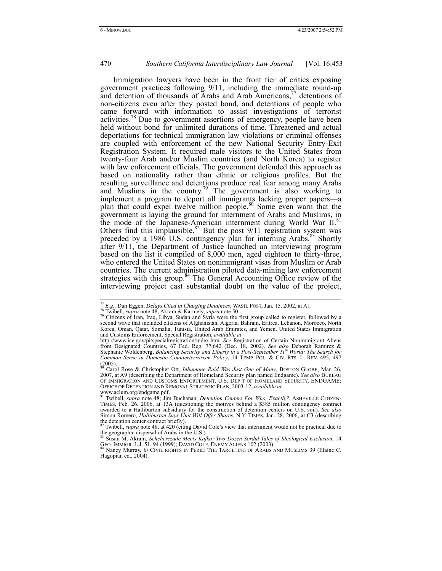Immigration lawyers have been in the front tier of critics exposing government practices following 9/11, including the immediate round-up and detention of thousands of Arabs and Arab Americans,<sup>77</sup> detentions of non-citizens even after they posted bond, and detentions of people who came forward with information to assist investigations of terrorist activities.<sup>78</sup> Due to government assertions of emergency, people have been held without bond for unlimited durations of time. Threatened and actual deportations for technical immigration law violations or criminal offenses are coupled with enforcement of the new National Security Entry-Exit Registration System. It required male visitors to the United States from twenty-four Arab and/or Muslim countries (and North Korea) to register with law enforcement officials. The government defended this approach as based on nationality rather than ethnic or religious profiles. But the resulting surveillance and detentions produce real fear among many Arabs and Muslims in the country.<sup>79</sup> The government is also working to implement a program to deport all immigrants lacking proper papers—a plan that could expel twelve million people.<sup>80</sup> Some even warn that the government is laying the ground for internment of Arabs and Muslims, in the mode of the Japanese-American internment during World War II.<sup>81</sup> Others find this implausible. $82$  But the post  $9/11$  registration system was preceded by a 1986 U.S. contingency plan for interning Arabs.<sup>83</sup> Shortly after 9/11, the Department of Justice launched an interviewing program based on the list it compiled of 8,000 men, aged eighteen to thirty-three, who entered the United States on nonimmigrant visas from Muslim or Arab countries. The current administration piloted data-mining law enforcement strategies with this group. $84$  The General Accounting Office review of the interviewing project cast substantial doubt on the value of the project,

<sup>&</sup>lt;sup>77</sup> E.g., Dan Eggen, *Delays Cited in Charging Detainees*, WASH. POST, Jan. 15, 2002, at A1.<br><sup>78</sup> Twibell, *supra* note 48; Akram & Karmely, *supra* note 50.<br><sup>79</sup> Citizens of Iran, Iraq, Libya, Sudan and Syria were the fi Korea, Oman, Qatar, Somalia, Tunisia, United Arab Emirates, and Yemen. United States Immigration and Customs Enforcement, Special Registration, *available at*

http://www.ice.gov/pi/specialregistration/index.htm. *See* Registration of Certain Nonimmigrant Aliens from Designated Countries, 67 Fed. Reg. 77,642 (Dec. 18, 2002). *See also* Deborah Ramirez & Stephanie Woldenberg, *Balancing Security and Liberty in a Post-September 11th World: The Search for Common Sense in Domestic Counterterrorism Policy*, 14 TEMP. POL. & CIV. RTS. L. REV. 495, 497  $(2005)$ .

<sup>80</sup> Carol Rose & Christopher Ott, *Inhumane Raid Was Just One of Many*, BOSTON GLOBE, Mar. 26, 2007, at A9 (describing the Department of Homeland Security plan named Endgame). *See also* BUREAU OF IMMIGRATION AND CUSTOMS ENFORCEMENT, U.S. DEP'T OF HOMELAND SECURITY, ENDGAME:<br>OFFICE OF DETENTION AND REMOVAL STRATEGIC PLAN, 2003-12, available at OFFICE OF DETENTION AND REMOVAL STRATEGIC PLAN, 2003-12, *available at* www.aclum.org/endgame.pdf.

<sup>81</sup> Twibell, *supra* note 48; Jim Buchanan, *Detention Centers For Who, Exactly?*, ASHEVILLE CITIZEN-TIMES, Feb. 26, 2006, at 13A (questioning the motives behind a \$385 million contingency contract awarded to a Halliburton subsidiary for the construction of detention centers on U.S. soil). *See also* Simon Romero, *Halliburton Says Unit Will Offer Shares*, N.Y. TIMES, Jan. 28, 2006, at C3 (describing the detention center contract briefly).

Twibell, *supra* note 48, at 420 (citing David Cole's view that internment would not be practical due to the geographic dispersal of Arabs in the U.S.). 83 Susan M. Akram, *Scheherezade Meets Kafka: Two Dozen Sordid Tales of Ideological Exclusion*, 14

GEO. IMMIGR. L.J. 51, 94 (1999); DAVID COLE, ENEMY ALIENS 102 (2003).<br><sup>84</sup> Nancy Murray, *in CIVIL RIGHTS IN PERIL: THE TARGETING OF ARABS AND MUSLIMS 39 (Elaine C.* 

Hagopian ed., 2004).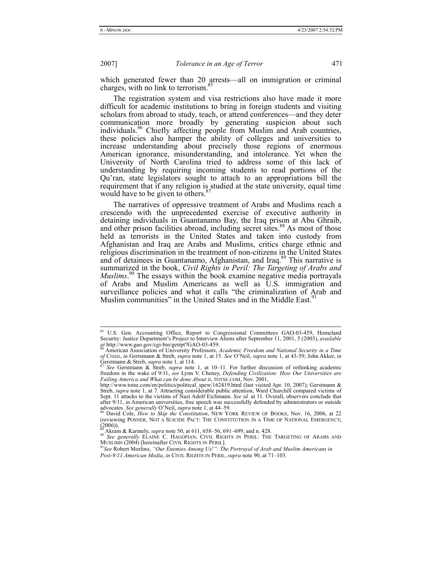which generated fewer than 20 arrests—all on immigration or criminal charges, with no link to terrorism.<sup>85</sup>

The registration system and visa restrictions also have made it more difficult for academic institutions to bring in foreign students and visiting scholars from abroad to study, teach, or attend conferences—and they deter communication more broadly by generating suspicion about such individuals.<sup>86</sup> Chiefly affecting people from Muslim and Arab countries, these policies also hamper the ability of colleges and universities to increase understanding about precisely those regions of enormous American ignorance, misunderstanding, and intolerance. Yet when the University of North Carolina tried to address some of this lack of understanding by requiring incoming students to read portions of the Qu'ran, state legislators sought to attach to an appropriations bill the requirement that if any religion is studied at the state university, equal time would have to be given to others.<sup>87</sup>

The narratives of oppressive treatment of Arabs and Muslims reach a crescendo with the unprecedented exercise of executive authority in detaining individuals in Guantanamo Bay, the Iraq prison at Abu Ghraib, and other prison facilities abroad, including secret sites.<sup>88</sup> As most of those held as terrorists in the United States and taken into custody from Afghanistan and Iraq are Arabs and Muslims, critics charge ethnic and religious discrimination in the treatment of non-citizens in the United States and of detainees in Guantanamo, Afghanistan, and Iraq.<sup>89</sup> This narrative is summarized in the book, *Civil Rights in Peril: The Targeting of Arabs and Muslims*.<sup>90</sup> The essays within the book examine negative media portrayals of Arabs and Muslim Americans as well as U.S. immigration and surveillance policies and what it calls "the criminalization of Arab and Muslim communities" in the United States and in the Middle East.<sup>91</sup>

<sup>85</sup> U.S. Gen. Accounting Office, Report to Congressional Committees GAO-03-459, Homeland Security: Justice Department's Project to Interview Aliens after September 11, 2001, 5 (2003), *available at* http://www.gao.gov/cgi-bin/getrpt?GAO-03-459.

*at* http://www.gao.gov/cgi-bin/getrpt?GAO-03-459. 86 American Association of University Professors, *Academic Freedom and National Security in a Time of Crisis*, *in* Gertsmann & Streb, *supra* note 1, at 15. *See* O'Neil, *supra* note 1, at 43-59; John Akker, *in* Gerstmann & Streb, *supra* note 1, at 114.

See Gerstmann & Streb, *supra* note 1, at 10–11. For further discussion of rethinking academic freedom in the wake of 9/11, *see* Lynn V. Cheney, *Defending Civilization: How Our Universities are Failing America and What can be done About it*, TOTSE.COM, Nov. 2001,

http://www.totse.com/en/politics/political\_spew/162419.html (last visited Apr. 10, 2007); Gerstmann & Streb, *supra* note 1, at 7. Attracting considerable public attention, Ward Churchill compared victims of Sept. 11 attacks to the victims of Nazi Adolf Eichmann. *See id.* at 11. Overall, observers conclude that after 9/11, in American universities, free speech was successfully defended by administrators or outside advocates. *See generally* O'Neil, *supra* note 1, at 44–59.<br><sup>88</sup> David Cole, *How to Skip the Constitution*, NEW YORK REVIEW OF BOOKS, Nov. 16, 2006, at 22

<sup>(</sup>reviewing POSNER, NOT A SUICIDE PACT: THE CONSTITUTION IN A TIME OF NATIONAL EMERGENCY,<br>(2006)). (2006)).<br><sup>89</sup> Akram & Karmely, *supra* note 50, at 611, 658–56, 691–699, and n. 428.<br><sup>90</sup> *See generally* ELAINE C. HAGOPIAN, CIVIL RIGHTS IN PERIL: THE TARGETING OF ARABS AND

MUSLIMS (2004) [hereinafter CIVIL RIGHTS IN PERIL]. 91*See* Robert Morlino, *"Our Enemies Among Us!": The Portrayal of Arab and Muslim Americans in* 

*Post-9/11 American Media*, *in* CIVIL RIGHTS IN PERIL, *supra* note 90, at 71–103.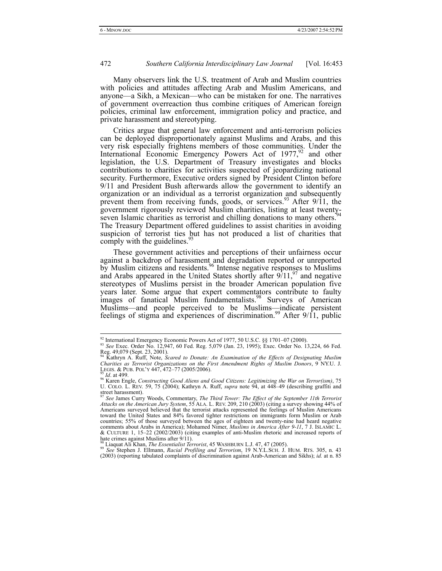Many observers link the U.S. treatment of Arab and Muslim countries with policies and attitudes affecting Arab and Muslim Americans, and anyone—a Sikh, a Mexican—who can be mistaken for one. The narratives of government overreaction thus combine critiques of American foreign policies, criminal law enforcement, immigration policy and practice, and private harassment and stereotyping.

Critics argue that general law enforcement and anti-terrorism policies can be deployed disproportionately against Muslims and Arabs, and this very risk especially frightens members of those communities. Under the International Economic Emergency Powers Act of  $1977$ ,  $92$  and other legislation, the U.S. Department of Treasury investigates and blocks contributions to charities for activities suspected of jeopardizing national security. Furthermore, Executive orders signed by President Clinton before 9/11 and President Bush afterwards allow the government to identify an organization or an individual as a terrorist organization and subsequently prevent them from receiving funds, goods, or services.<sup>93</sup> After  $9/11$ , the government rigorously reviewed Muslim charities, listing at least twentyseven Islamic charities as terrorist and chilling donations to many others.<sup>9</sup> The Treasury Department offered guidelines to assist charities in avoiding suspicion of terrorist ties but has not produced a list of charities that comply with the guidelines.<sup>5</sup>

These government activities and perceptions of their unfairness occur against a backdrop of harassment and degradation reported or unreported by Muslim citizens and residents.<sup>96</sup> Intense negative responses to Muslims and Arabs appeared in the United States shortly after  $9/11$ ,  $9/11$  and negative stereotypes of Muslims persist in the broader American population five years later. Some argue that expert commentators contribute to faulty images of fanatical Muslim fundamentalists.<sup>98</sup> Surveys of American Muslims—and people perceived to be Muslims—indicate persistent feelings of stigma and experiences of discrimination.<sup>99</sup> After  $9/11$ , public

<sup>99</sup> See Stephen J. Ellmann, *Racial Profiling and Terrorism*, 19 N.Y.L.SCH. J. HUM. RTS. 305, n. 43 (2003) (reporting tabulated complaints of discrimination against Arab-American and Sikhs); *id.* at n. 85

<sup>&</sup>lt;sup>92</sup> International Emergency Economic Powers Act of 1977, 50 U.S.C. §§ 1701–07 (2000).<br><sup>93</sup> *See* Exec. Order No. 12,947, 60 Fed. Reg. 5,079 (Jan. 23, 1995); Exec. Order No. 13,224, 66 Fed. Reg. 49,079 (Sept. 23, 2001). 94 Kathryn A. Ruff, Note, *Scared to Donate: An Examination of the Effects of Designating Muslim* 

*Charities as Terrorist Organizations on the First Amendment Rights of Muslim Donors*, 9 NY.U. J. LEGIS. & PUB. POL'Y 447, 472–77 (2005/2006).<br><sup>95</sup> Id. at 499.

LEGIS. & PUB. POL'Y 447, 472–77 (2005/2006). 95 *Id*. at 499. 96 Karen Engle, *Constructing Good Aliens and Good Citizens: Legitimizing the War on Terror(ism)*, 75 U. COLO. L. REV. 59, 75 (2004); Kathryn A. Ruff, *supra* note 94, at 448–49 (describing graffiti and street harassment).

<sup>&</sup>lt;sup>97</sup> See James Curry Woods, Commentary, *The Third Tower: The Effect of the September 11th Terrorist Attacks on the American Jury System, 55 ALA. L. REV. 209, 210 (2003) (citing a survey showing 44% of Americans surveyed* toward the United States and 84% favored tighter restrictions on immigrants form Muslim or Arab countries; 55% of those surveyed between the ages of eighteen and twenty-nine had heard negative comments about Arabs in America); Mohamed Nimer, *Muslims in America After 9-11*, 7 J. ISLAMIC L. & CULTURE 1, 15–22 (2002/2003) (citing examples of anti-Muslim rhetoric and increased reports of hate crimes against Muslims after  $9/11$ ).<br><sup>98</sup> Liaquat Ali Khan, *The Essentialist Terrorist*, 45 WASHBURN L.J. 47, 47 (2005).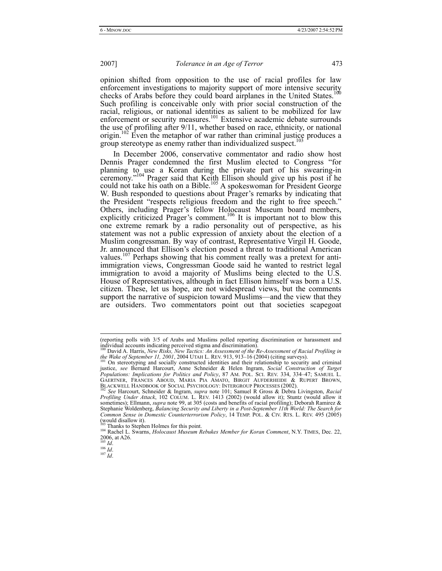opinion shifted from opposition to the use of racial profiles for law enforcement investigations to majority support of more intensive security<br>the Linited States  $^{100}$ checks of Arabs before they could board airplanes in the United States. Such profiling is conceivable only with prior social construction of the racial, religious, or national identities as salient to be mobilized for law enforcement or security measures.<sup>101</sup> Extensive academic debate surrounds the use of profiling after 9/11, whether based on race, ethnicity, or national origin.<sup>102</sup> Even the metaphor of war rather than criminal justice produces a group stereotype as enemy rather than individualized suspect.<sup>1</sup>

In December 2006, conservative commentator and radio show host Dennis Prager condemned the first Muslim elected to Congress "for planning to use a Koran during the private part of his swearing-in ceremony."<sup>104</sup> Prager said that Keith Ellison should give up his post if he could not take his oath on a Bible.<sup>105</sup> A spokeswoman for President George W. Bush responded to questions about Prager's remarks by indicating that the President "respects religious freedom and the right to free speech." Others, including Prager's fellow Holocaust Museum board members, explicitly criticized Prager's comment.<sup>106</sup> It is important not to blow this one extreme remark by a radio personality out of perspective, as his statement was not a public expression of anxiety about the election of a Muslim congressman. By way of contrast, Representative Virgil H. Goode, Jr. announced that Ellison's election posed a threat to traditional American values.<sup>107</sup> Perhaps showing that his comment really was a pretext for antiimmigration views, Congressman Goode said he wanted to restrict legal immigration to avoid a majority of Muslims being elected to the U.S. House of Representatives, although in fact Ellison himself was born a U.S. citizen. These, let us hope, are not widespread views, but the comments support the narrative of suspicion toward Muslims—and the view that they are outsiders. Two commentators point out that societies scapegoat

 <sup>(</sup>reporting polls with 3/5 of Arabs and Muslims polled reporting discrimination or harassment and individual accounts indicating perceived stigma and discrimination).<br><sup>100</sup> David A. Harris, *New Risks, New Tactics: An Assessment of the Re-Assessment of Racial Profiling in* 

<sup>&</sup>lt;sup>100</sup> David A. Harris, *New Risks*, *New Tactics: An Assessment of the Re-Assessment of Racial Profiling in*<br>*the Wake of September 11, 2001*, 2004 UTAH L. REV. 913, 913–16 (2004) (citing surveys).<br><sup>101</sup> On stereotyping an

justice, *see* Bernard Harcourt, Anne Schneider & Helen Ingram, *Social Construction of Target Populations: Implications for Politics and Policy*, 87 AM. POL. SCI. REV. 334, 334–47; SAMUEL L. BLACKWELL HANDBOOK OF SOCIAL PSYCHOLOGY: INTERGROUP PROCESSES (2002).

**Profiling Under Attack**, 102 COLUM. L. REV. 1413 (2002) (would allow it); Stuntz (would allow it); *Profiling Under Attack*, 102 COLUM. L. REV. 1413 (2002) (would allow it); *Stuntz* (would allow it) sometimes); Ellmann, *supra* note 99, at 305 (costs and benefits of racial profiling); Deborah Ramirez & Stephanie Woldenberg, *Balancing Security and Liberty in a Post-September 11th World: The Search for Common Sense in Domestic Counterterrorism Policy*, 14 TEMP. POL. & CIV. RTS. L. REV. 495 (2005) (would disallow it).<br><sup>103</sup> Thanks to Stephen Holmes for this point.

<sup>&</sup>lt;sup>104</sup> Rachel L. Swarns, *Holocaust Museum Rebukes Member for Koran Comment*, N.Y. TIMES, Dec. 22,  $^{2006}$ , at A26.

<sup>105</sup> *Id*. 106 *Id*. 107 *Id*.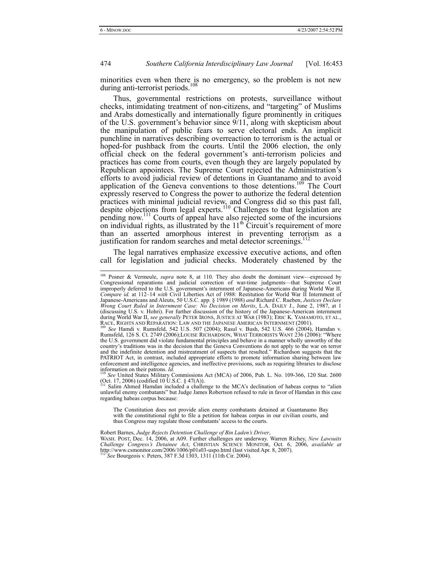minorities even when there is no emergency, so the problem is not new during anti-terrorist periods.<sup>108</sup>

Thus, governmental restrictions on protests, surveillance without checks, intimidating treatment of non-citizens, and "targeting" of Muslims and Arabs domestically and internationally figure prominently in critiques of the U.S. government's behavior since 9/11, along with skepticism about the manipulation of public fears to serve electoral ends. An implicit punchline in narratives describing overreaction to terrorism is the actual or hoped-for pushback from the courts. Until the 2006 election, the only official check on the federal government's anti-terrorism policies and practices has come from courts, even though they are largely populated by Republican appointees. The Supreme Court rejected the Administration's efforts to avoid judicial review of detentions in Guantanamo and to avoid application of the Geneva conventions to those detentions.<sup>109</sup> The Court expressly reserved to Congress the power to authorize the federal detention practices with minimal judicial review, and Congress did so this past fall, despite objections from legal experts.<sup>110</sup> Challenges to that legislation are pending now.111 Courts of appeal have also rejected some of the incursions on individual rights, as illustrated by the  $11<sup>th</sup>$  Circuit's requirement of more than an asserted amorphous interest in preventing terrorism as a justification for random searches and metal detector screenings.<sup>1</sup>

The legal narratives emphasize excessive executive actions, and often call for legislation and judicial checks. Moderately chastened by the

unlawful enemy combatants" but Judge James Robertson refused to rule in favor of Hamdan in this case regarding habeas corpus because:

Robert Barnes, *Judge Rejects Detention Challenge of Bin Laden's Driver*, WASH. POST, Dec. 14, 2006, at A09. Further challenges are underway. Warren Richey, *New Lawsuits Challenge Congress's Detainee Act*, CHRISTIAN SCIENCE MONITOR, Oct. 6, 2006, *available at* http://www.csmonitor.com/2006/1006/p01s03-uspo.html (last visited Apr. 8, 2007). <sup>112</sup> *See* Bourgeois v. Peters, 387 F.3d 1303, 1311 (11th Cir. 2004).

<sup>&</sup>lt;sup>108</sup> Posner & Vermeule, *supra* note 8, at 110. They also doubt the dominant view—expressed by Congressional reparations and judicial correction of war-time judgments—that Supreme Court improperly deferred to the U.S. government's internment of Japanese-Americans during World War II. *Compare id.* at 112–14 *with* Civil Liberties Act of 1988: Restitution for World War II Internment of Japanese-Americans and Aleuts, 50 U.S.C. app. § 1989 (1988) *and* Richard C. Rueben, *Justices Declare Wrong Court Ruled in Internment Case: No Decision on Merits*, L.A. DAILY J., June 2, 1987, at 1 (discussing U.S. v. Hohri). For further discussion of the history of the Japanese-American internment during World War II, *see generally* PETER IRONS, JUSTICE AT WAR (1983); ERIC K. YAMAMOTO, ET AL., RACE, RIGHTS AND REPARATION: LAW AND THE JAPANESE AMERICAN INTERNMENT (2001).<br><sup>109</sup> *See* Hamdi v. Rumsfeld, 542 U.S. 507 (2004); Rasul v. Bush, 542 U.S. 466 (2004), Hamdan v.

Rumsfeld, 126 S. Ct. 2749 (2006);LOUISE RICHARDSON, WHAT TERRORISTS WANT 236 (2006): "Where the U.S. government did violate fundamental principles and behave in a manner wholly unworthy of the country's traditions was in the decision that the Geneva Conventions do not apply to the war on terror and the indefinite detention and mistreatment of suspects that resulted." Richardson suggests that the PATRIOT Act, in contrast, included appropriate efforts to promote information sharing between law enforcement and intelligence agencies, and ineffective provisions, such as requiring libraries to disclose information on their patrons. *Id.* 110 *See* United States Military Commissions Act (MCA) of 2006, Pub. L. No. 109-366, 120 Stat. 2600

<sup>(</sup>Oct. 17, 2006) (codified 10 U.S.C. § 47(A)).<br><sup>111</sup> Salim Ahmed Hamdan included a challenge to the MCA's declination of habeas corpus to "alien

The Constitution does not provide alien enemy combatants detained at Guantanamo Bay with the constitutional right to file a petition for habeas corpus in our civilian courts, and thus Congress may regulate those combatants' access to the courts.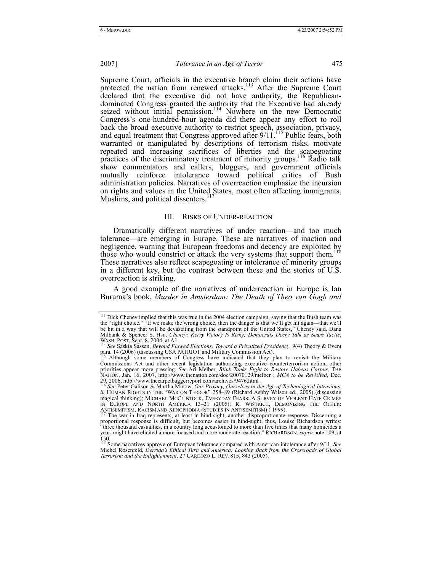Supreme Court, officials in the executive branch claim their actions have protected the nation from renewed attacks.<sup>113</sup> After the Supreme Court declared that the executive did not have authority, the Republicandominated Congress granted the authority that the Executive had already seized without initial permission.<sup>114</sup> Nowhere on the new Democratic Congress's one-hundred-hour agenda did there appear any effort to roll back the broad executive authority to restrict speech, association, privacy, and equal treatment that Congress approved after 9/11.<sup>115</sup> Public fears, both warranted or manipulated by descriptions of terrorism risks, motivate repeated and increasing sacrifices of liberties and the scapegoating practices of the discriminatory treatment of minority groups.116 Radio talk show commentators and callers, bloggers, and government officials mutually reinforce intolerance toward political critics of Bush administration policies. Narratives of overreaction emphasize the incursion on rights and values in the United States, most often affecting immigrants, Muslims, and political dissenters.<sup>1</sup>

#### III. RISKS OF UNDER-REACTION

Dramatically different narratives of under reaction—and too much tolerance—are emerging in Europe. These are narratives of inaction and negligence, warning that European freedoms and decency are exploited by those who would constrict or attack the very systems that support them.<sup>118</sup> These narratives also reflect scapegoating or intolerance of minority groups in a different key, but the contrast between these and the stories of U.S. overreaction is striking.

A good example of the narratives of underreaction in Europe is Ian Buruma's book, *Murder in Amsterdam: The Death of Theo van Gogh and* 

<sup>&</sup>lt;sup>113</sup> Dick Cheney implied that this was true in the 2004 election campaign, saying that the Bush team was the "right choice." "If we make the wrong choice, then the danger is that we'll get hit again—that we'll be hit in a way that will be devastating from the standpoint of the United States," Cheney said. Dana Milbank & Spencer S. Hsu, *Cheney: Kerry Victory Is Risky; Democrats Decry Talk as Scare Tactic*, WASH. POST, Sept. 8, 2004, at A1.<br><sup>114</sup> See Saskia Sassen, *Beyond Flawed Elections: Toward a Privatized Presidency*, 9(4) Theory & Event

para. 14 (2006) (discussing USA PATRIOT and Military Commission Act).<br><sup>115</sup> Although some members of Congress have indicated that they plan to revisit the Military

Commissions Act and other recent legislation authorizing executive counterterrorism action, other priorities appear more pressing. *See* Ari Melber, *Blink Tanks Fight to Restore Habeas Corpus*, THE NATION, Jan. 16, 2007, http://www.thenation.com/doc/20070129/melber ; *MCA to be Revisited*, Dec.

<sup>29, 2006,</sup> http://www.thecarpetbaggerreport.com/archives/9476.html<br><sup>116</sup> See Peter Galison & Martha Minow, *Our Privacy, Ourselves in the Age of Technological Intrusions*,<br>*in* HUMAN RIGHTS IN THE "WAR ON TERROR" 258–89 (Ri magical thinking); MICHAEL MCCLINTOCK, EVERYDAY FEARS: A SURVEY OF VIOLENT HATE CRIMES<br>IN EUROPE AND NORTH AMERICA 13–21 (2005); R. WISTRICH, DEMONIZING THE OTHER:<br>ANTISEMITISM, RACISMAND XENOPHOBIA (STUDIES IN ANTISEMITIS

<sup>&</sup>lt;sup>117</sup> The war in Iraq represents, at least in hind-sight, another disproportionate response. Discerning a proportional response is difficult, but becomes easier in hind-sight; thus, Louise Richardson writes: "three thousand casualties, in a country long accustomed to more than five times that many homicides a year, might have elicited a more focused and more moderate reaction." RICHARDSON, *supra* note 109, at 150. 118 Some narratives approve of European tolerance compared with American intolerance after 9/11. *See*

Michel Rosenfeld, *Derrida's Ethical Turn and America: Looking Back from the Crossroads of Global Terrorism and the Enlightenment*, 27 CARDOZO L. REV. 815, 843 (2005).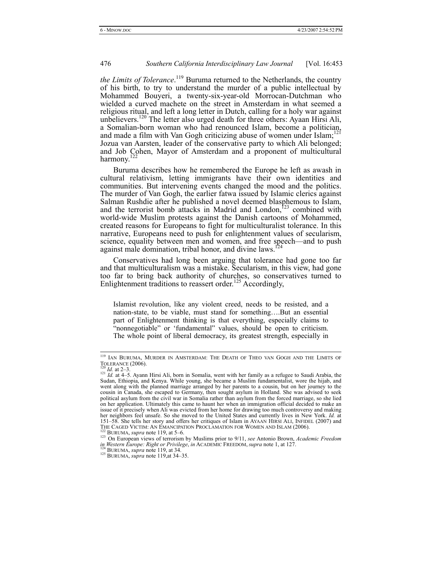*the Limits of Tolerance*.<sup>119</sup> Buruma returned to the Netherlands, the country of his birth, to try to understand the murder of a public intellectual by Mohammed Bouyeri, a twenty-six-year-old Morrocan-Dutchman who wielded a curved machete on the street in Amsterdam in what seemed a religious ritual, and left a long letter in Dutch, calling for a holy war against unbelievers.<sup>120</sup> The letter also urged death for three others: Ayaan Hirsi Ali, a Somalian-born woman who had renounced Islam, become a politician, and made a film with Van Gogh criticizing abuse of women under  $Islam$ ;<sup>121</sup> Jozua van Aarsten, leader of the conservative party to which Ali belonged; and Job Cohen, Mayor of Amsterdam and a proponent of multicultural harmony.<sup>122</sup>

Buruma describes how he remembered the Europe he left as awash in cultural relativism, letting immigrants have their own identities and communities. But intervening events changed the mood and the politics. The murder of Van Gogh, the earlier fatwa issued by Islamic clerics against Salman Rushdie after he published a novel deemed blasphemous to Islam, and the terrorist bomb attacks in Madrid and London, $^{123}$  combined with world-wide Muslim protests against the Danish cartoons of Mohammed, created reasons for Europeans to fight for multiculturalist tolerance. In this narrative, Europeans need to push for enlightenment values of secularism, science, equality between men and women, and free speech—and to push against male domination, tribal honor, and divine laws.

Conservatives had long been arguing that tolerance had gone too far and that multiculturalism was a mistake. Secularism, in this view, had gone too far to bring back authority of churches, so conservatives turned to Enlightenment traditions to reassert order.<sup>125</sup> Accordingly,

Islamist revolution, like any violent creed, needs to be resisted, and a nation-state, to be viable, must stand for something….But an essential part of Enlightenment thinking is that everything, especially claims to "nonnegotiable" or 'fundamental" values, should be open to criticism. The whole point of liberal democracy, its greatest strength, especially in

<sup>&</sup>lt;sup>119</sup> IAN BURUMA, MURDER IN AMSTERDAM: THE DEATH OF THEO VAN GOGH AND THE LIMITS OF TOLERANCE (2006).

<sup>&</sup>lt;sup>120</sup> *Id.* at 2–3.<br><sup>121</sup> *Id.* at 4–5. Ayann Hirsi Ali, born in Somalia, went with her family as a refugee to Saudi Arabia, the Sudan, Ethiopia, and Kenya. While young, she became a Muslim fundamentalist, wore the hijab, and went along with the planned marriage arranged by her parents to a cousin, but on her journey to the cousin in Canada, she escaped to Germany, then sought asylum in Holland. She was advised to seek political asylum from the civil war in Somalia rather than asylum from the forced marriage, so she lied on her application. Ultimately this came to haunt her when an immigration official decided to make an issue of it precisely when Ali was evicted from her home for drawing too much controversy and making her neighbors feel unsafe. So she moved to the United States and currently lives in New York. *Id.* at 151–58. She tells her story and offers her critiques of Islam in AYAAN HIRSI ALI, INFIDEL (2007) and THE CAGED VICTIM: AN EMANCIPATION PROCLAMATION FOR WOMEN AND ISLAM (2006).<br><sup>122</sup> BURUMA, *supra* note 119, at 5–6.<br><sup>123</sup> On European views of terrorism by Muslims prior to 9/11, *see* Antonio Brown, *Academic Freedom* 

*in Western Europe: Right or Privilege*, *in* ACADEMIC FREEDOM, *supra* note 1, at 127. <sup>124</sup> BURUMA, *supra* note 119, at 34. 125 BURUMA, *supra* note 119,at 34–35.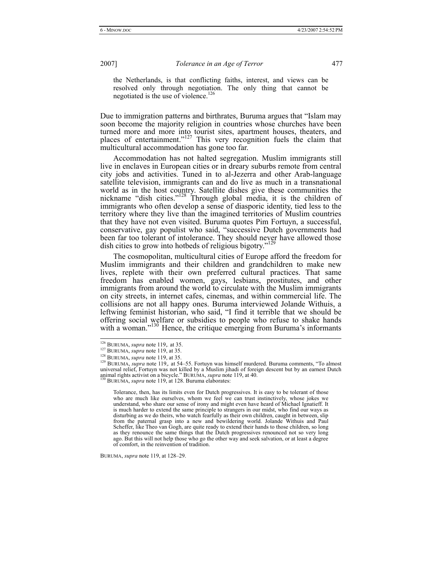the Netherlands, is that conflicting faiths, interest, and views can be resolved only through negotiation. The only thing that cannot be negotiated is the use of violence.<sup>126</sup>

Due to immigration patterns and birthrates, Buruma argues that "Islam may soon become the majority religion in countries whose churches have been turned more and more into tourist sites, apartment houses, theaters, and places of entertainment."<sup>127</sup> This very recognition fuels the claim that multicultural accommodation has gone too far.

Accommodation has not halted segregation. Muslim immigrants still live in enclaves in European cities or in dreary suburbs remote from central city jobs and activities. Tuned in to al-Jezerra and other Arab-language satellite television, immigrants can and do live as much in a transnational world as in the host country. Satellite dishes give these communities the mickname "dish cities."<sup>128</sup> Through global media, it is the children of immigrants who often develop a sense of diasporic identity, tied less to the territory where they live than the imagined territories of Muslim countries that they have not even visited. Buruma quotes Pim Fortuyn, a successful, conservative, gay populist who said, "successive Dutch governments had been far too tolerant of intolerance. They should never have allowed those dish cities to grow into hotbeds of religious bigotry."<sup>129</sup>

The cosmopolitan, multicultural cities of Europe afford the freedom for Muslim immigrants and their children and grandchildren to make new lives, replete with their own preferred cultural practices. That same freedom has enabled women, gays, lesbians, prostitutes, and other immigrants from around the world to circulate with the Muslim immigrants on city streets, in internet cafes, cinemas, and within commercial life. The collisions are not all happy ones. Buruma interviewed Jolande Withuis, a leftwing feminist historian, who said, "I find it terrible that we should be offering social welfare or subsidies to people who refuse to shake hands with a woman."<sup>130</sup> Hence, the critique emerging from Buruma's informants

BURUMA, *supra* note 119, at 128–29.

<sup>&</sup>lt;sup>126</sup> BURUMA, *supra* note 119,. at 35.<br><sup>127</sup> BURUMA, *supra* note 119, at 35.<br><sup>128</sup> BURUMA, *supra* note 119, at 35.<br><sup>128</sup> BURUMA, *supra* note 119,. at 54–55. Fortuyn was himself murdered. Buruma comments, "To almost universal relief, Fortuyn was not killed by a Muslim jihadi of foreign descent but by an earnest Dutch<br>animal rights activist on a bicycle." BURUMA, *supra* note 119, at 40.<br><sup>130</sup> BURUMA, *supra* note 119, at 128. Buruma e

Tolerance, then, has its limits even for Dutch progressives. It is easy to be tolerant of those who are much like ourselves, whom we feel we can trust instinctively, whose jokes we understand, who share our sense of irony and might even have heard of Michael Ignatieff. It is much harder to extend the same principle to strangers in our midst, who find our ways as disturbing as we do theirs, who watch fearfully as their own children, caught in between, slip from the paternal grasp into a new and bewildering world. Jolande Withuis and Paul Scheffer, like Theo van Gogh, are quite ready to extend their hands to those children, so long as they renounce the same things that the Dutch progressives renounced not so very long ago. But this will not help those who go the other way and seek salvation, or at least a degree of comfort, in the reinvention of tradition.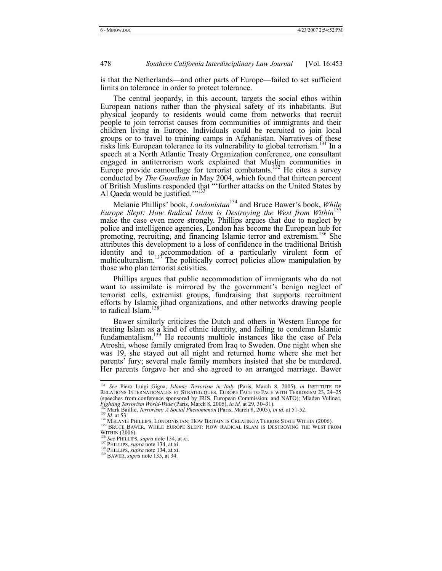is that the Netherlands—and other parts of Europe—failed to set sufficient limits on tolerance in order to protect tolerance.

The central jeopardy, in this account, targets the social ethos within European nations rather than the physical safety of its inhabitants. But physical jeopardy to residents would come from networks that recruit people to join terrorist causes from communities of immigrants and their children living in Europe. Individuals could be recruited to join local groups or to travel to training camps in Afghanistan. Narratives of these risks link European tolerance to its vulnerability to global terrorism.<sup>131</sup> In a speech at a North Atlantic Treaty Organization conference, one consultant engaged in antiterrorism work explained that Muslim communities in Europe provide camouflage for terrorist combatants.<sup>132</sup> He cites a survey conducted by *The Guardian* in May 2004, which found that thirteen percent of British Muslims responded that "'further attacks on the United States by Al Qaeda would be justified."<sup>133</sup>

Melanie Phillips' book, *Londonistan*134 and Bruce Bawer's book, *While Europe Slept: How Radical Islam is Destroying the West from Within*<sup>135</sup> make the case even more strongly. Phillips argues that due to neglect by police and intelligence agencies, London has become the European hub for promoting, recruiting, and financing Islamic terror and extremism.136 She attributes this development to a loss of confidence in the traditional British identity and to accommodation of a particularly virulent form of multiculturalism.<sup>137</sup> The politically correct policies allow manipulation by those who plan terrorist activities.

Phillips argues that public accommodation of immigrants who do not want to assimilate is mirrored by the government's benign neglect of terrorist cells, extremist groups, fundraising that supports recruitment efforts by Islamic jihad organizations, and other networks drawing people to radical Islam.<sup>138</sup>

Bawer similarly criticizes the Dutch and others in Western Europe for treating Islam as a kind of ethnic identity, and failing to condemn Islamic fundamentalism.139 He recounts multiple instances like the case of Pela Atroshi, whose family emigrated from Iraq to Sweden. One night when she was 19, she stayed out all night and returned home where she met her parents' fury; several male family members insisted that she be murdered. Her parents forgave her and she agreed to an arranged marriage. Bawer

133 *Id.* at 53.<br>
<sup>133</sup> *Id.* at 53.<br>
<sup>134</sup> MELANIE PHILLIPS, LONDONISTAN: HOW BRITAIN IS CREATING A TERROR STATE WITHIN (2006).<br>
<sup>135</sup> BRUCE BAWER, WHILE EUROPE SLEPT: HOW RADICAL ISLAM IS DESTROYING THE WEST FROM<br>
WITHIN

 <sup>131</sup> *See* Piero Luigi Gigna, *Islamic Terrorism in Italy* (Paris, March 8, 2005), *in* INSTITUTE DE RELATIONS INTERNATIONALES ET STRATEGIQUES, EUROPE FACE TO FACE WITH TERRORISM 23, 24–25 (speeches from conference sponsored by IRIS, European Commission, and NATO); Mladen Vulinec,<br>Fighting Terrorism World-Wide (Paris, March 8, 2005), in id. at 29, 30–31).<br><sup>132</sup>Mark Baillie, Terrorism: A Social Phenomenon (P

<sup>&</sup>lt;sup>136</sup> *See* PHILLIPS, *supra* note 134, at xi. <sup>137</sup> PHILLIPS, *supra* note 134, at xi. <sup>138</sup> PHILLIPS, *supra* note 134, at xi. <sup>139</sup> BAWER, *supra* note 135, at 34.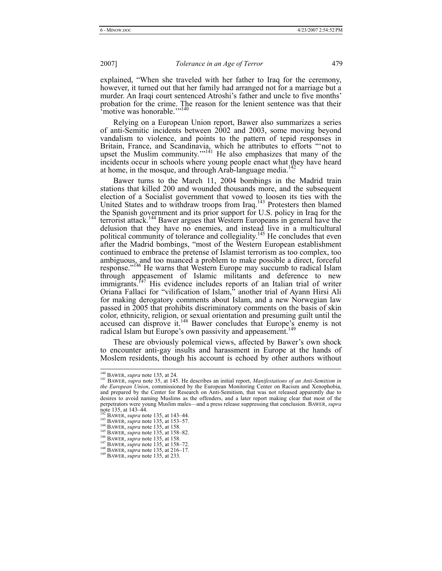explained, "When she traveled with her father to Iraq for the ceremony, however, it turned out that her family had arranged not for a marriage but a murder. An Iraqi court sentenced Atroshi's father and uncle to five months' probation for the crime. The reason for the lenient sentence was that their motive was honorable."<sup>140</sup>

Relying on a European Union report, Bawer also summarizes a series of anti-Semitic incidents between 2002 and 2003, some moving beyond vandalism to violence, and points to the pattern of tepid responses in Britain, France, and Scandinavia, which he attributes to efforts "'not to upset the Muslim community. $1141$  He also emphasizes that many of the incidents occur in schools where young people enact what they have heard at home, in the mosque, and through Arab-language media.<sup>142</sup>

Bawer turns to the March 11, 2004 bombings in the Madrid train stations that killed 200 and wounded thousands more, and the subsequent election of a Socialist government that vowed to loosen its ties with the United States and to withdraw troops from Iraq.<sup>143</sup> Protesters then blamed the Spanish government and its prior support for U.S. policy in Iraq for the terrorist attack.144 Bawer argues that Western Europeans in general have the delusion that they have no enemies, and instead live in a multicultural political community of tolerance and collegiality.<sup>145</sup> He concludes that even after the Madrid bombings, "most of the Western European establishment continued to embrace the pretense of Islamist terrorism as too complex, too ambiguous, and too nuanced a problem to make possible a direct, forceful response."<sup>146</sup> He warns that Western Europe may succumb to radical Islam through appeasement of Islamic militants and deference to new immigrants.<sup>147</sup> His evidence includes reports of an Italian trial of writer Oriana Fallaci for "vilification of Islam," another trial of Ayann Hirsi Ali for making derogatory comments about Islam, and a new Norwegian law passed in 2005 that prohibits discriminatory comments on the basis of skin color, ethnicity, religion, or sexual orientation and presuming guilt until the accused can disprove it.<sup>148</sup> Bawer concludes that Europe's enemy is not radical Islam but Europe's own passivity and appeasement.

These are obviously polemical views, affected by Bawer's own shock to encounter anti-gay insults and harassment in Europe at the hands of Moslem residents, though his account is echoed by other authors without

<sup>&</sup>lt;sup>140</sup> BAWER, *supra* note 135, at 24.<br><sup>141</sup> BAWER, *supra* note 35, at 145. He describes an initial report, *Manifestations of an Anti-Semitism in the European Union*, commissioned by the European Monitoring Center on Racism and Xenophobia, and prepared by the Center for Research on Anti-Semitism, that was not released apparently due to desires to avoid naming Muslims as the offenders, and a later report making clear that most of the perpetrators were young Muslim males—and a press release suppressing that conclusion. BAWER, *supra* note 135, at 143–44.

BAWER, *supra* note 1.5, at 153–57.<br>
<sup>143</sup> BAWER, *supra* note 135, at 153–57.<br>
<sup>143</sup> BAWER, *supra* note 135, at 158.<br>
<sup>145</sup> BAWER, *supra* note 135, at 158–82.<br>
<sup>147</sup> BAWER, *supra* note 135, at 158–72.<br>
<sup>148</sup> BAWER, *s*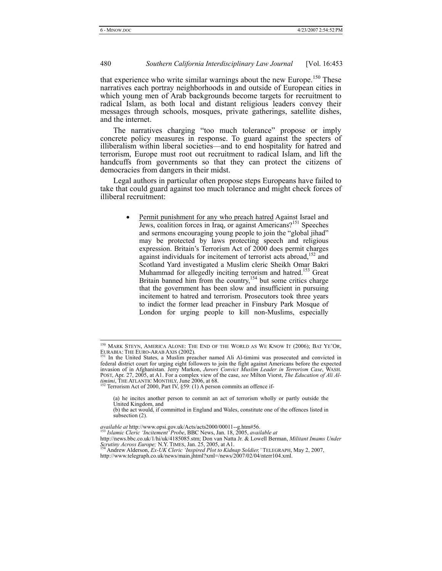that experience who write similar warnings about the new Europe.<sup>150</sup> These narratives each portray neighborhoods in and outside of European cities in which young men of Arab backgrounds become targets for recruitment to radical Islam, as both local and distant religious leaders convey their messages through schools, mosques, private gatherings, satellite dishes, and the internet.

The narratives charging "too much tolerance" propose or imply concrete policy measures in response. To guard against the specters of illiberalism within liberal societies—and to end hospitality for hatred and terrorism, Europe must root out recruitment to radical Islam, and lift the handcuffs from governments so that they can protect the citizens of democracies from dangers in their midst.

Legal authors in particular often propose steps Europeans have failed to take that could guard against too much tolerance and might check forces of illiberal recruitment:

> • Permit punishment for any who preach hatred Against Israel and Jews, coalition forces in Iraq, or against Americans?<sup>151</sup> Speeches and sermons encouraging young people to join the "global jihad" may be protected by laws protecting speech and religious expression. Britain's Terrorism Act of 2000 does permit charges against individuals for incitement of terrorist acts abroad,<sup>152</sup> and Scotland Yard investigated a Muslim cleric Sheikh Omar Bakri Muhammad for allegedly inciting terrorism and hatred.<sup>153</sup> Great Britain banned him from the country,<sup>154</sup> but some critics charge that the government has been slow and insufficient in pursuing incitement to hatred and terrorism. Prosecutors took three years to indict the former lead preacher in Finsbury Park Mosque of London for urging people to kill non-Muslims, especially

(a) he incites another person to commit an act of terrorism wholly or partly outside the United Kingdom, and

<sup>&</sup>lt;sup>150</sup> MARK STEYN, AMERICA ALONE: THE END OF THE WORLD AS WE KNOW IT (2006); BAT YE'OR, EURABIA: THE EURO-ARAB AXIS (2002). 251 In the United States, a Muslim preacher named Ali Al-timimi was prosecuted and convicted in

federal district court for urging eight followers to join the fight against Americans before the expected invasion of in Afghanistan. Jerry Markon, *Jurors Convict Muslim Leader in Terrorism Case*, WASH. POST, Apr. 27, 2005, at A1. For a complex view of the case, *see* Milton Viorst, *The Education of Ali Altimimi*, THE ATLANTIC MONTHLY, June 2006, at 68.<br><sup>152</sup> Terrorism Act of 2000, Part IV, §59: (1) A person commits an offence if-

<sup>(</sup>b) the act would, if committed in England and Wales, constitute one of the offences listed in subsection (2).

*available at* http://www.opsi.gov.uk/Acts/acts2000/00011--g.htm#56. 153 *Islamic Cleric 'Incitement' Probe*, BBC News, Jan. 18, 2005, *available at*

http://news.bbc.co.uk/1/hi/uk/4185085.stm; Don van Natta Jr. & Lowell Berman, *Militant Imams Under*<br>*Scrutiny Across Europe;* N.Y. TIMES, Jan. 25, 2005, at A1.<br><sup>154</sup> Andrew Alderson, *Ex-UK Cleric 'Inspired Plot to Kidnap* 

http://www.telegraph.co.uk/news/main.jhtml?xml=/news/2007/02/04/nterr104.xml.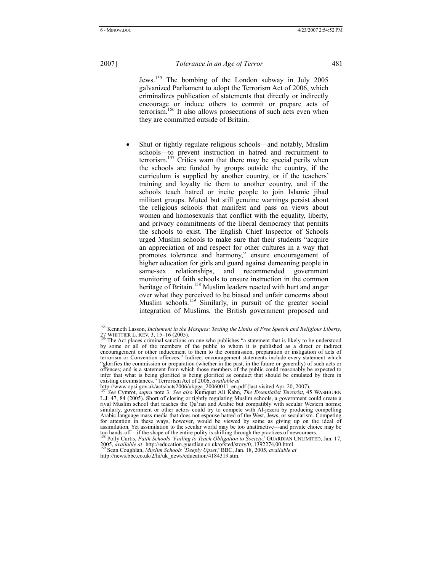Jews.155 The bombing of the London subway in July 2005 galvanized Parliament to adopt the Terrorism Act of 2006, which criminalizes publication of statements that directly or indirectly encourage or induce others to commit or prepare acts of terrorism.156 It also allows prosecutions of such acts even when they are committed outside of Britain.

• Shut or tightly regulate religious schools—and notably, Muslim schools—to prevent instruction in hatred and recruitment to terrorism.<sup>157</sup> Critics warn that there may be special perils when the schools are funded by groups outside the country, if the curriculum is supplied by another country, or if the teachers' training and loyalty tie them to another country, and if the schools teach hatred or incite people to join Islamic jihad militant groups. Muted but still genuine warnings persist about the religious schools that manifest and pass on views about women and homosexuals that conflict with the equality, liberty, and privacy commitments of the liberal democracy that permits the schools to exist. The English Chief Inspector of Schools urged Muslim schools to make sure that their students "acquire an appreciation of and respect for other cultures in a way that promotes tolerance and harmony," ensure encouragement of higher education for girls and guard against demeaning people in same-sex relationships, and recommended government monitoring of faith schools to ensure instruction in the common heritage of Britain.<sup>158</sup> Muslim leaders reacted with hurt and anger over what they perceived to be biased and unfair concerns about Muslim schools.<sup>159</sup> Similarly, in pursuit of the greater social integration of Muslims, the British government proposed and

 <sup>155</sup> Kenneth Lasson, *Incitement in the Mosques: Testing the Limits of Free Speech and Religious Liberty*, 27 WHITTIER L. REV. 3, 15–16 (2005).<br><sup>156</sup> The Act places criminal sanctions on one who publishes "a statement that is likely to be understood

by some or all of the members of the public to whom it is published as a direct or indirect encouragement or other inducement to them to the commission, preparation or instigation of acts of terrorism or Convention offences." Indirect encouragement statements include every statement which "glorifies the commission or preparation (whether in the past, in the future or generally) of such acts or offences; and is a statement from which those members of the public could reasonably be expected to infer that what is being glorified is being glorified as conduct that should be emulated by them in existing circumstances." Terrorism Act of 2006, *available at*

http://www.opsi.gov.uk/acts/acts2006/ukpga\_20060011\_en.pdf (last visited Apr. 20, 2007). <sup>157</sup> *See* Cymrot, *supra* note 3. *See also* Kumquat Ali Kahn, *The Essentialist Terrorist*, 45 WASHBURN

L.J. 47, 84 (2005). Short of closing or tightly regulating Muslim schools, a government could create a rival Muslim school that teaches the Qu'ran and Arabic but compatibly with secular Western norms; similarly, government or other actors could try to compete with Al-jezera by producing compelling Arabic-language mass media that does not espouse hatred of the West, Jews, or secularism. Competing for attention in these ways, however, would be viewed by some as giving up on the ideal of assimilation. Yet assimilation to the secular world may be too unattractive—and private choice may be too hands-off—if the shape of the entire polity is shifting through the practices of newcomers. 158 Polly Curtis, *Faith Schools 'Failing to Teach Obligation to Society*,' GUARDIAN UNLIMITED, Jan. 17,

<sup>2005,</sup> *available at* http://education.guardian.co.uk/ofsted/story/0,,1392274,00.html. 159 Sean Coughlan, *Muslim Schools 'Deeply Upset*,' BBC, Jan. 18, 2005, *available at*

http://news.bbc.co.uk/2/hi/uk\_news/education/4184319.stm.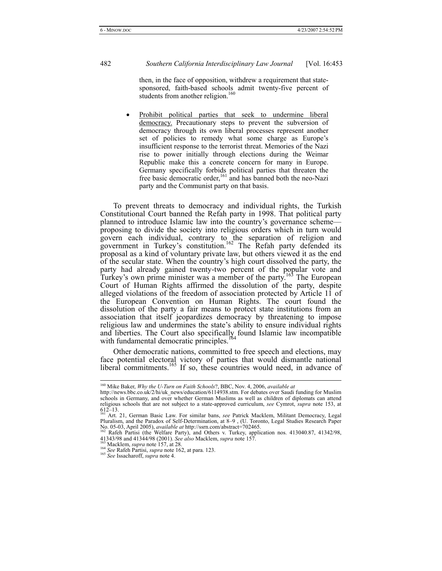then, in the face of opposition, withdrew a requirement that statesponsored, faith-based schools admit twenty-five percent of students from another religion.<sup>160</sup>

• Prohibit political parties that seek to undermine liberal democracy. Precautionary steps to prevent the subversion of democracy through its own liberal processes represent another set of policies to remedy what some charge as Europe's insufficient response to the terrorist threat. Memories of the Nazi rise to power initially through elections during the Weimar Republic make this a concrete concern for many in Europe. Germany specifically forbids political parties that threaten the free basic democratic order,<sup>161</sup> and has banned both the neo-Nazi party and the Communist party on that basis.

To prevent threats to democracy and individual rights, the Turkish Constitutional Court banned the Refah party in 1998. That political party planned to introduce Islamic law into the country's governance scheme proposing to divide the society into religious orders which in turn would govern each individual, contrary to the separation of religion and government in Turkey's constitution.<sup>162</sup> The Refah party defended its proposal as a kind of voluntary private law, but others viewed it as the end of the secular state. When the country's high court dissolved the party, the party had already gained twenty-two percent of the popular vote and Turkey's own prime minister was a member of the party.<sup>163</sup> The European Court of Human Rights affirmed the dissolution of the party, despite alleged violations of the freedom of association protected by Article 11 of the European Convention on Human Rights. The court found the dissolution of the party a fair means to protect state institutions from an association that itself jeopardizes democracy by threatening to impose religious law and undermines the state's ability to ensure individual rights and liberties. The Court also specifically found Islamic law incompatible with fundamental democratic principles.<sup>1</sup>

Other democratic nations, committed to free speech and elections, may face potential electoral victory of parties that would dismantle national liberal commitments.<sup>165</sup> If so, these countries would need, in advance of

 <sup>160</sup> Mike Baker, *Why the U-Turn on Faith Schools*?, BBC, Nov. 4, 2006, *available at* 

http://news.bbc.co.uk/2/hi/uk\_news/education/6114938.stm. For debates over Saudi funding for Muslim schools in Germany, and over whether German Muslims as well as children of diplomats can attend religious schools that are not subject to a state-approved curriculum, *see* Cymrot, *supra* note 153, at  $612-13.$ 

<sup>&</sup>lt;sup>161</sup> Art. 21, German Basic Law. For similar bans, *see* Patrick Macklem, Militant Democracy, Legal Pluralism, and the Paradox of Self-Determination, at 8–9 , (U. Toronto, Legal Studies Research Paper No. 05-03, April 2005), *available at* http://ssrn.com/abstract=702465. 162 Rafeh Partisi (the Welfare Party), and Others v. Turkey, application nos. 413040.87, 41342/98,

<sup>41343/98</sup> and 41344/98 (2001). See also Macklem, supra note 157.<br>
<sup>163</sup> Macklem, *supra* note 157, at 28.<br>
<sup>164</sup> See Rafeh Partisi, *supra* note 162, at para. 123.<br>
<sup>165</sup> See Issacharoff, *supra* note 4.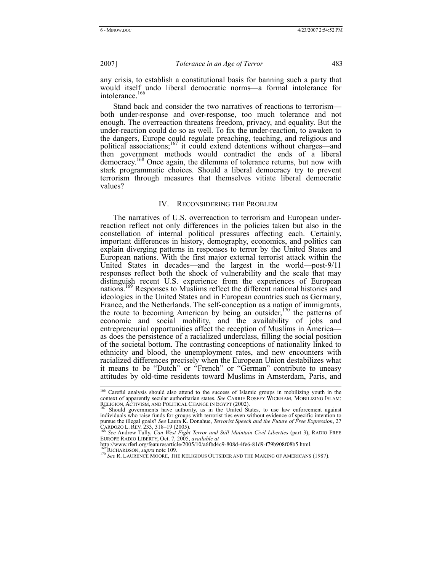any crisis, to establish a constitutional basis for banning such a party that would itself undo liberal democratic norms—a formal intolerance for intolerance.<sup>166</sup>

Stand back and consider the two narratives of reactions to terrorism both under-response and over-response, too much tolerance and not enough. The overreaction threatens freedom, privacy, and equality. But the under-reaction could do so as well. To fix the under-reaction, to awaken to the dangers, Europe could regulate preaching, teaching, and religious and political associations;167 it could extend detentions without charges—and then government methods would contradict the ends of a liberal democracy.168 Once again, the dilemma of tolerance returns, but now with stark programmatic choices. Should a liberal democracy try to prevent terrorism through measures that themselves vitiate liberal democratic values?

#### IV. RECONSIDERING THE PROBLEM

The narratives of U.S. overreaction to terrorism and European underreaction reflect not only differences in the policies taken but also in the constellation of internal political pressures affecting each. Certainly, important differences in history, demography, economics, and politics can explain diverging patterns in responses to terror by the United States and European nations. With the first major external terrorist attack within the United States in decades—and the largest in the world—post-9/11 responses reflect both the shock of vulnerability and the scale that may distinguish recent U.S. experience from the experiences of European nations.169 Responses to Muslims reflect the different national histories and ideologies in the United States and in European countries such as Germany, France, and the Netherlands. The self-conception as a nation of immigrants, the route to becoming American by being an outsider,<sup>170</sup> the patterns of economic and social mobility, and the availability of jobs and entrepreneurial opportunities affect the reception of Muslims in America as does the persistence of a racialized underclass, filling the social position of the societal bottom. The contrasting conceptions of nationality linked to ethnicity and blood, the unemployment rates, and new encounters with racialized differences precisely when the European Union destabilizes what it means to be "Dutch" or "French" or "German" contribute to uneasy attitudes by old-time residents toward Muslims in Amsterdam, Paris, and

<sup>&</sup>lt;sup>166</sup> Careful analysis should also attend to the success of Islamic groups in mobilizing youth in the context of apparently secular authoritarian states. *See* CARRIE ROSEFY WICKHAM, MOBILIZING ISLAM: RELIGION, ACTIVISM, AND POLITICAL CHANGE IN EGYPT (2002).<br><sup>167</sup> Should governments have authority, as in the United States, to use law enforcement against

individuals who raise funds for groups with terrorist ties even without evidence of specific intention to pursue the illegal goals? *See* Laura K. Donahue, *Terrorist Speech and the Future of Free Expression*, 27<br>CARDOZO L. REV. 233, 318–19 (2005).<br><sup>168</sup> *See* Andrew Tully, *Can West Fight Terror and Still Maintain Civil Liber* 

EUROPE RADIO LIBERTY, Oct. 7, 2005, available at<br>http://www.rferl.org/featuresarticle/2005/10/a6fbd4c9-808d-4fe6-81d9-f79b908f08b5.html.<br>169 RICHARDSON, *supra* note 109.<br><sup>170</sup> See R. LAURENCE MOORE, THE RELIGIOUS OUTSIDER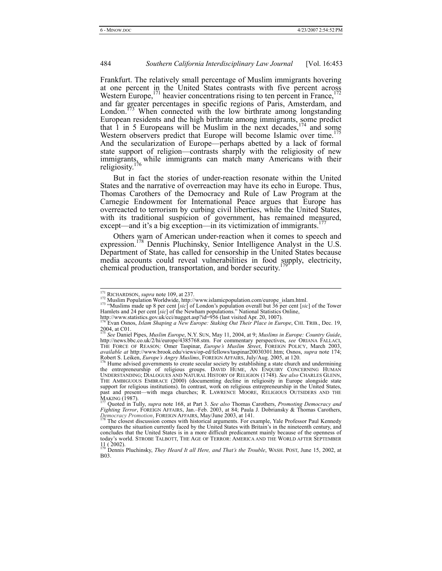Frankfurt. The relatively small percentage of Muslim immigrants hovering at one percent in the United States contrasts with five percent across Western Europe,  $171$  heavier concentrations rising to ten percent in France,  $172$ and far greater percentages in specific regions of Paris, Amsterdam, and London. $173$  When connected with the low birthrate among longstanding European residents and the high birthrate among immigrants, some predict that 1 in 5 Europeans will be Muslim in the next decades,  $1/4$  and some Western observers predict that Europe will become Islamic over time.<sup>175</sup> And the secularization of Europe—perhaps abetted by a lack of formal state support of religion—contrasts sharply with the religiosity of new immigrants, while immigrants can match many Americans with their religiosity.<sup>176</sup>

But in fact the stories of under-reaction resonate within the United States and the narrative of overreaction may have its echo in Europe. Thus, Thomas Carothers of the Democracy and Rule of Law Program at the Carnegie Endowment for International Peace argues that Europe has overreacted to terrorism by curbing civil liberties, while the United States, with its traditional suspicion of government, has remained measured, except—and it's a big exception—in its victimization of immigrants.<sup>1</sup>

Others warn of American under-reaction when it comes to speech and expression.<sup>178</sup> Dennis Pluchinsky, Senior Intelligence Analyst in the U.S. Department of State, has called for censorship in the United States because media accounts could reveal vulnerabilities in food supply, electricity, chemical production, transportation, and border security.

<sup>&</sup>lt;sup>171</sup> RICHARDSON, *supra* note 109, at 237.<br><sup>172</sup> Muslim Population Worldwide, http://www.islamicpopulation.com/europe\_islam.html.<br><sup>173</sup> "Muslims made up 8 per cent [*sic*] of London's population overall but 36 per cent [ Hamlets and 24 per cent [*sic*] of the Newham populations." National Statistics Online,

http://www.statistics.gov.uk/cci/nugget.asp?id=956 (last visited Apr. 20, 1007). 174 Evan Osnos, *Islam Shaping a New Europe: Staking Out Their Place in Europe*, CHI. TRIB., Dec. 19,  $2004$ , at C01.

<sup>&</sup>lt;sup>175</sup> See Daniel Pipes, *Muslim Europe*, N.Y. SUN, May 11, 2004, at 9; *Muslims in Europe: Country Guide,* http://news.bbc.co.uk/2/hi/europe/4385768.stm. For commentary perspectives, *see* ORIANA FALLACI, THE FORCE OF REASON*;* Omer Taspinar, *Europe's Muslim Street*, FOREIGN POLICY, March 2003, *available at* http://www.brook.edu/views/op-ed/fellows/taspinar20030301.htm; Osnos, *supra* note 174;

Robert S. Leiken, *Europe's Angry Muslims*, FOREIGN AFFAIRS, July/Aug. 2005, at 120.<br><sup>176</sup> Hume advised governments to create secular society by establishing a state church and undermining<br>the entrepreneurship of religious THE AMBIGUOUS EMBRACE (2000) (documenting decline in religiosity in Europe alongside state support for religious institutions). In contrast, work on religious entrepreneurship in the United States, past and present—with me MAKING (1987). 177 Quoted in Tully, *supra* note 168, at Part 3. *See also* Thomas Carothers, *Promoting Democracy and* 

*Fighting Terror*, FOREIGN AFFAIRS, Jan.–Feb. 2003, at 84; Paula J. Dobriansky & Thomas Carothers, *Promocracy and Fighting Terror*, FOREIGN AFFAIRS, Jan.–Feb. 2003, at 84; Paula J. Dobriansky & Thomas Carothers, *Democrac* 

The closest discussion comes with historical arguments. For example, Yale Professor Paul Kennedy compares the situation currently faced by the United States with Britain's in the nineteenth century, and concludes that the United States is in a more difficult predicament mainly because of the openness of today's world. STROBE TALBOTT, THE AGE OF TERROR: AMERICA AND THE WORLD AFTER SEPTEMBER

<sup>11 ( 2002).</sup>  179 Dennis Pluchinsky, *They Heard It all Here, and That's the Trouble*, WASH. POST, June 15, 2002, at B03.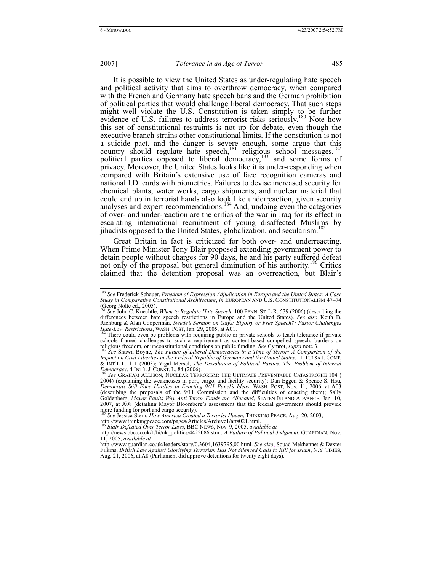It is possible to view the United States as under-regulating hate speech and political activity that aims to overthrow democracy, when compared with the French and Germany hate speech bans and the German prohibition of political parties that would challenge liberal democracy. That such steps might well violate the U.S. Constitution is taken simply to be further evidence of U.S. failures to address terrorist risks seriously.<sup>180</sup> Note how this set of constitutional restraints is not up for debate, even though the executive branch strains other constitutional limits. If the constitution is not a suicide pact, and the danger is severe enough, some argue that this country should regulate hate speech, $181$  religious school messages,  $182$ political parties opposed to liberal democracy, $\frac{183}{183}$  and some forms of privacy. Moreover, the United States looks like it is under-responding when compared with Britain's extensive use of face recognition cameras and national I.D. cards with biometrics. Failures to devise increased security for chemical plants, water works, cargo shipments, and nuclear material that could end up in terrorist hands also look like underreaction, given security analyses and expert recommendations.<sup>184</sup> And, undoing even the categories of over- and under-reaction are the critics of the war in Iraq for its effect in escalating international recruitment of young disaffected Muslims by jihadists opposed to the United States, globalization, and secularism.<sup>185</sup>

Great Britain in fact is criticized for both over- and underreacting. When Prime Minister Tony Blair proposed extending government power to detain people without charges for 90 days, he and his party suffered defeat not only of the proposal but general diminution of his authority.<sup>186</sup> Critics claimed that the detention proposal was an overreaction, but Blair's

http://www.thinkingpeace.com/pages/Articles/Archive1/arts021.html.

 <sup>180</sup> *See* Frederick Schauer, *Freedom of Expression Adjudication in Europe and the United States: A Case Study in Comparative Constitutional Architecture*, *in* EUROPEAN AND U.S. CONSTITUTIONALISM 47–74  $(Georg Nolte ed., 2005)$ .

<sup>181</sup> *See* John C. Knechtle, *When to Regulate Hate Speech*, 100 PENN. ST. L.R. 539 (2006) (describing the differences between hate speech restrictions in Europe and the United States). *See also* Keith B. Richburg & Alan Cooperman, *Swede's Sermon on Gays: Bigotry or Free Speech?; Pastor Challenges Hate-Law Restrictions*, WASH. POST, Jan. 29, 2005, at A01. 1826, at the second of the could even be problems with requiring public or private schools to teach tolerance if private

schools framed challenges to such a requirement as content-based compelled speech, burdens on religious freedom, or unconstitutional conditions on public funding. *See* Cymrot, *supra* note 3. 183 *See* Shawn Boyne, *The Future of Liberal Democracies in a Time of Terror: A Comparison of the* 

*Impact on Civil Liberties in the Federal Republic of Germany and the United States*, 11 TULSA J. COMP. & INT'L L. 111 (2003); Yigal Mersel, *The Dissolution of Political Parties: The Problem of Internal Democracy*, 4 INT'L J. CONST. L. 84 (2006). 184 *See GRAHAM ALLISON, NUCLEAR TERRORISM: THE ULTIMATE PREVENTABLE CATASTROPHE 104 (* 

<sup>2004) (</sup>explaining the weaknesses in port, cargo, and facility security); Dan Eggen & Spence S. Hsu, *Democrats Still Face Hurdles in Enacting 9/11 Panel's Ideas*, WASH. POST, Nov. 11, 2006, at A03 (describing the proposals Goldenberg, *Mayor Faults Way Anti-Terror Funds are Allocated*, STATEN ISLAND ADVANCE, Jan. 10, 2007, at A08 (detailing Mayor Bloomberg's assessment that the federal government should provide more funding for port and cargo security).

<sup>185</sup> *See* Jessica Stern, *How America Created a Terrorist Haven*, THINKING PEACE, Aug. 20, 2003,

<sup>186</sup> *Blair Defeated Over Terror Laws*, BBC NEWS, Nov. 9, 2005, *available at*

http://news.bbc.co.uk/1/hi/uk\_politics/4422086.stm ; *A Failure of Political Judgment*, GUARDIAN, Nov. 11, 2005, *available at*

http://www.guardian.co.uk/leaders/story/0,3604,1639795,00.html. *See also*, Souad Mekhennet & Dexter Filkins, *British Law Against Glorifying Terrorism Has Not Silenced Calls to Kill for Islam*, N.Y. TIMES, Aug. 21, 2006, at A8 (Parliament did approve detentions for twenty eight days).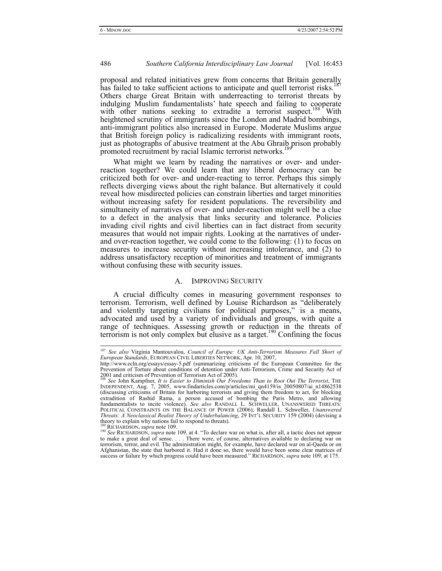proposal and related initiatives grew from concerns that Britain generally has failed to take sufficient actions to anticipate and quell terrorist risks.<sup>1</sup> Others charge Great Britain with underreacting to terrorist threats by indulging Muslim fundamentalists' hate speech and failing to cooperate with other nations seeking to extradite a terrorist suspect.<sup>188</sup> With heightened scrutiny of immigrants since the London and Madrid bombings, anti-immigrant politics also increased in Europe. Moderate Muslims argue that British foreign policy is radicalizing residents with immigrant roots, just as photographs of abusive treatment at the Abu Ghraib prison probably promoted recruitment by racial Islamic terrorist networks.<sup>18</sup>

What might we learn by reading the narratives or over- and underreaction together? We could learn that any liberal democracy can be criticized both for over- and under-reacting to terror. Perhaps this simply reflects diverging views about the right balance. But alternatively it could reveal how misdirected policies can constrain liberties and target minorities without increasing safety for resident populations. The reversibility and simultaneity of narratives of over- and under-reaction might well be a clue to a defect in the analysis that links security and tolerance. Policies invading civil rights and civil liberties can in fact distract from security measures that would not impair rights. Looking at the narratives of underand over-reaction together, we could come to the following: (1) to focus on measures to increase security without increasing intolerance, and (2) to address unsatisfactory reception of minorities and treatment of immigrants without confusing these with security issues.

#### A. IMPROVING SECURITY

A crucial difficulty comes in measuring government responses to terrorism. Terrorism, well defined by Louise Richardson as "deliberately and violently targeting civilians for political purposes," is a means, advocated and used by a variety of individuals and groups, with quite a range of techniques. Assessing growth or reduction in the threats of terrorism is not only complex but elusive as a target.<sup>190</sup> Confining the focus

 <sup>187</sup> *See also* Virginia Mantouvalou, *Council of Europe: UK Anti-Terrorism Measures Fall Short of European Standards*, EUROPEAN CIVIL LIBERTIES NETWORK, Apr. 10, 2007,

http://www.ecln.org/essays/essay-5.pdf (summarizing criticisms of the European Committee for the Prevention of Torture about conditions of detention under Anti-Terrorism, Crime and Security Act of 2001 and criticism of Prevention of Terrorism Act of 2005).

<sup>&</sup>lt;sup>188</sup> See John Kampfner, *It is Easier to Diminish Our Freedoms Than to Root Out The Terrorist*, THE INDEPENDENT, Aug. 7, 2005, www.findarticles.com/p/articles/mi\_qn4159/is\_20050807/ai\_n14862538 (discussing criticisms of Britain for harboring terrorists and giving them freedom to act, for blocking extradition of Rashid Rama, a person accused of bombing the Paris Metro, and allowing fundamentalists to incite violence). *See also* RANDALL L. SCHWELLER, UNANSWERED THREATS: POLITICAL CONSTRAINTS ON THE BALANCE OF POWER (2006); Randall L. Schweller, *Unanswered Threats: A Neoclassical Realist Theory of Underbalancing*, 29 INT'L SECURITY 159 (2004) (devising a theory to explain why nations fail to respond to threats).<br>  $\frac{189}{100}$  RICHARDSON, *supra* note 109.

<sup>&</sup>lt;sup>190</sup> See RICHARDSON, *supra* note 109, at 4. "To declare war on what is, after all, a tactic does not appear to make a great deal of sense. . . . There were, of course, alternatives available to declaring war on terrorism, terror, and evil. The administration might, for example, have declared war on al-Qaeda or on Afghanistan, the state that harbored it. Had it done so, there would have been some clear matrices of success or failure by which progress could have been measured." RICHARDSON, *supra* note 109, at 175.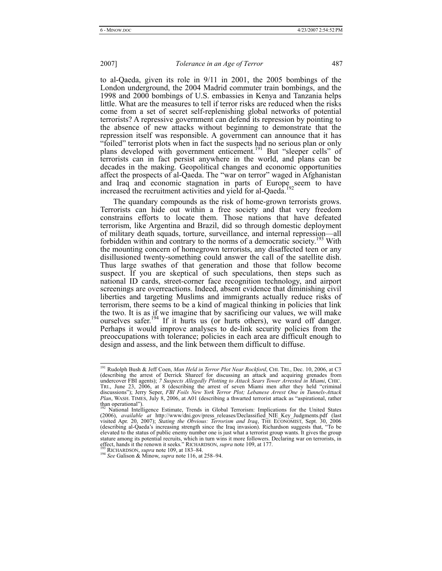to al-Qaeda, given its role in 9/11 in 2001, the 2005 bombings of the London underground, the 2004 Madrid commuter train bombings, and the 1998 and 2000 bombings of U.S. embassies in Kenya and Tanzania helps little. What are the measures to tell if terror risks are reduced when the risks come from a set of secret self-replenishing global networks of potential terrorists? A repressive government can defend its repression by pointing to the absence of new attacks without beginning to demonstrate that the repression itself was responsible. A government can announce that it has "foiled" terrorist plots when in fact the suspects had no serious plan or only plans developed with government enticement.<sup>191</sup> But "sleeper cells" of terrorists can in fact persist anywhere in the world, and plans can be decades in the making. Geopolitical changes and economic opportunities affect the prospects of al-Qaeda. The "war on terror" waged in Afghanistan and Iraq and economic stagnation in parts of Europe seem to have increased the recruitment activities and yield for al-Qaeda.

The quandary compounds as the risk of home-grown terrorists grows. Terrorists can hide out within a free society and that very freedom constrains efforts to locate them. Those nations that have defeated terrorism, like Argentina and Brazil, did so through domestic deployment of military death squads, torture, surveillance, and internal repression—all forbidden within and contrary to the norms of a democratic society.<sup>193</sup> With the mounting concern of homegrown terrorists, any disaffected teen or any disillusioned twenty-something could answer the call of the satellite dish. Thus large swathes of that generation and those that follow become suspect. If you are skeptical of such speculations, then steps such as national ID cards, street-corner face recognition technology, and airport screenings are overreactions. Indeed, absent evidence that diminishing civil liberties and targeting Muslims and immigrants actually reduce risks of terrorism, there seems to be a kind of magical thinking in policies that link the two. It is as if we imagine that by sacrificing our values, we will make ourselves safer.<sup>194</sup> If it hurts us (or hurts others), we ward off danger. Perhaps it would improve analyses to de-link security policies from the preoccupations with tolerance; policies in each area are difficult enough to design and assess, and the link between them difficult to diffuse.

 <sup>191</sup> Rudolph Bush & Jeff Coen, *Man Held in Terror Plot Near Rockford*, CHI. TRI., Dec. 10, 2006, at C3 (describing the arrest of Derrick Shareef for discussing an attack and acquiring grenades from undercover FBI agents); *7 Suspects Allegedly Plotting to Attack Sears Tower Arrested in Miami*, CHIC. TRI., June 23, 2006, at 8 (describing the arrest of seven Miami men after they held "criminal discussions"); Jerry Seper, *FBI Foils New York Terror Plot; Lebanese Arrest One in Tunnels-Attack Plan*, WASH. TIMES, July 8, 2006, at A01 (describing a thwarted terrorist attack as "aspirational, rather than operational").

<sup>192</sup> National Intelligence Estimate, Trends in Global Terrorism: Implications for the United States (2006), *available at* http://www/dni.gov/press\_releases/Declassified\_NIE\_Key\_Judgments.pdf (last visited Apr. 20, 2007); *Stating the Obvious: Terrorism and Iraq*, THE ECONOMIST, Sept. 30, 2006 (describing al-Qaeda's increasing strength since the Iraq invasion). Richardson suggests that, "To be elevated to the status of public enemy number one is just what a terrorist group wants. It gives the group stature among its potential recruits, which in turn wins it more followers. Declaring war on terrorists, in effect, hands it the renown it seeks." RICHARDSON, *supra* note 109, at 177.<br><sup>193</sup> RICHARDSON, *supra* note 109, a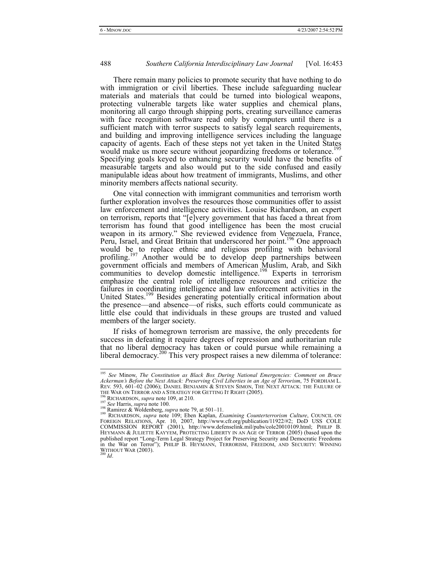There remain many policies to promote security that have nothing to do with immigration or civil liberties. These include safeguarding nuclear materials and materials that could be turned into biological weapons, protecting vulnerable targets like water supplies and chemical plans, monitoring all cargo through shipping ports, creating surveillance cameras with face recognition software read only by computers until there is a sufficient match with terror suspects to satisfy legal search requirements, and building and improving intelligence services including the language capacity of agents. Each of these steps not yet taken in the United States would make us more secure without jeopardizing freedoms or tolerance.<sup>195</sup> Specifying goals keyed to enhancing security would have the benefits of measurable targets and also would put to the side confused and easily manipulable ideas about how treatment of immigrants, Muslims, and other minority members affects national security.

One vital connection with immigrant communities and terrorism worth further exploration involves the resources those communities offer to assist law enforcement and intelligence activities. Louise Richardson, an expert on terrorism, reports that "[e]very government that has faced a threat from terrorism has found that good intelligence has been the most crucial weapon in its armory." She reviewed evidence from Venezuela, France, Peru, Israel, and Great Britain that underscored her point.<sup>196</sup> One approach would be to replace ethnic and religious profiling with behavioral profiling.<sup>197</sup> Another would be to develop deep partnerships between government officials and members of American Muslim, Arab, and Sikh communities to develop domestic intelligence.<sup>198</sup> Experts in terrorism emphasize the central role of intelligence resources and criticize the failures in coordinating intelligence and law enforcement activities in the United States.<sup>199</sup> Besides generating potentially critical information about the presence—and absence—of risks, such efforts could communicate as little else could that individuals in these groups are trusted and valued members of the larger society.

If risks of homegrown terrorism are massive, the only precedents for success in defeating it require degrees of repression and authoritarian rule that no liberal democracy has taken or could pursue while remaining a liberal democracy.<sup>200</sup> This very prospect raises a new dilemma of tolerance:

 <sup>195</sup> *See* Minow, *The Constitution as Black Box During National Emergencies: Comment on Bruce Ackerman's Before the Next Attack: Preserving Civil Liberties in an Age of Terrorism*, 75 FORDHAM L. REV. 593, 601–02 (2006); DANIEL BENJAMIN & STEVEN SIMON, THE NEXT ATTACK: THE FAILURE OF THE WAR ON TERROR AND A STRATEGY FOR GETTING IT RIGHT (2005).<br>THE WAR ON TERROR AND A STRATEGY FOR GETTING IT RIGHT (2005).<br><sup>197</sup> See Harris, *supra* note 109, at 210.<br><sup>197</sup> See Harris, *supra* note 100.<br><sup>198</sup> Ramirez & Wo

FOREIGN RELATIONS, Apr. 10, 2007, http://www.cfr.org/publication/11922/#2; DoD USS COLE COMMISSION REPORT (2001), http://www.defenselink.mil/pubs/cole20010109.html; PHILIP B. HEYMANN & JULIETTE KAYYEM, PROTECTING LIBERTY IN AN AGE OF TERROR (2005) (based upon the published report "Long-Term Legal Strategy Project for Preserving Security and Democratic Freedoms in the War on Terror"); PHILIP B. HEYMANN, TERRORISM, FREEDOM, AND SECURITY: WINNING WITHOUT WAR (2003). 200 *Id*.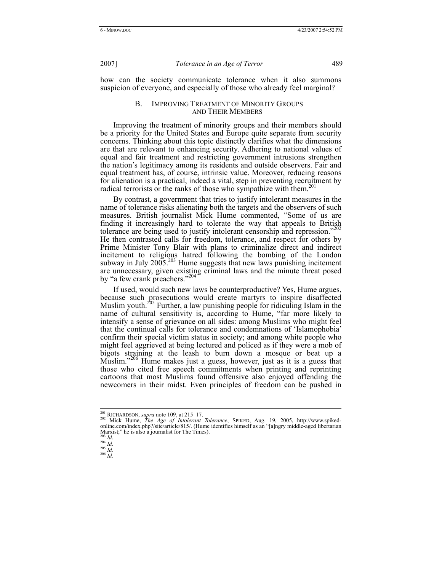how can the society communicate tolerance when it also summons suspicion of everyone, and especially of those who already feel marginal?

# B. IMPROVING TREATMENT OF MINORITY GROUPS AND THEIR MEMBERS

Improving the treatment of minority groups and their members should be a priority for the United States and Europe quite separate from security concerns. Thinking about this topic distinctly clarifies what the dimensions are that are relevant to enhancing security. Adhering to national values of equal and fair treatment and restricting government intrusions strengthen the nation's legitimacy among its residents and outside observers. Fair and equal treatment has, of course, intrinsic value. Moreover, reducing reasons for alienation is a practical, indeed a vital, step in preventing recruitment by radical terrorists or the ranks of those who sympathize with them.<sup>2</sup>

By contrast, a government that tries to justify intolerant measures in the name of tolerance risks alienating both the targets and the observers of such measures. British journalist Mick Hume commented, "Some of us are finding it increasingly hard to tolerate the way that appeals to British tolerance are being used to justify intolerant censorship and repression."<sup>202</sup> He then contrasted calls for freedom, tolerance, and respect for others by Prime Minister Tony Blair with plans to criminalize direct and indirect incitement to religious hatred following the bombing of the London subway in July 2005.<sup>203</sup> Hume suggests that new laws punishing incitement are unnecessary, given existing criminal laws and the minute threat posed by "a few crank preachers."<sup>20</sup>

If used, would such new laws be counterproductive? Yes, Hume argues, because such prosecutions would create martyrs to inspire disaffected Muslim youth.<sup>205</sup> Further, a law punishing people for ridiculing Islam in the name of cultural sensitivity is, according to Hume, "far more likely to intensify a sense of grievance on all sides: among Muslims who might feel that the continual calls for tolerance and condemnations of 'Islamophobia' confirm their special victim status in society; and among white people who might feel aggrieved at being lectured and policed as if they were a mob of bigots straining at the leash to burn down a mosque or beat up a Muslim."<sup>206</sup> Hume makes just a guess, however, just as it is a guess that those who cited free speech commitments when printing and reprinting cartoons that most Muslims found offensive also enjoyed offending the newcomers in their midst. Even principles of freedom can be pushed in

<sup>&</sup>lt;sup>201</sup> RICHARDSON, *supra* note 109, at 215–17.<br><sup>202</sup> Mick Hume, *The Age of Intolerant Tolerance*, SPIKED, Aug. 19, 2005, http://www.spikedonline.com/index.php?/site/article/815/. (Hume identifies himself as an "[a]ngry middle-aged libertarian Marxist;" he is also a journalist for The Times).<br> $\frac{1}{203}$  *Id.* 

<sup>203</sup> *Id*. 204 *Id*. 205 *Id*. 206 *Id.*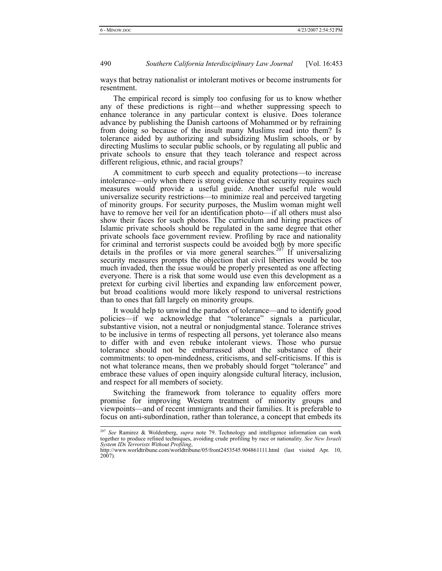ways that betray nationalist or intolerant motives or become instruments for resentment.

The empirical record is simply too confusing for us to know whether any of these predictions is right—and whether suppressing speech to enhance tolerance in any particular context is elusive. Does tolerance advance by publishing the Danish cartoons of Mohammed or by refraining from doing so because of the insult many Muslims read into them? Is tolerance aided by authorizing and subsidizing Muslim schools, or by directing Muslims to secular public schools, or by regulating all public and private schools to ensure that they teach tolerance and respect across different religious, ethnic, and racial groups?

A commitment to curb speech and equality protections—to increase intolerance—only when there is strong evidence that security requires such measures would provide a useful guide. Another useful rule would universalize security restrictions—to minimize real and perceived targeting of minority groups. For security purposes, the Muslim woman might well have to remove her veil for an identification photo—if all others must also show their faces for such photos. The curriculum and hiring practices of Islamic private schools should be regulated in the same degree that other private schools face government review. Profiling by race and nationality for criminal and terrorist suspects could be avoided both by more specific details in the profiles or via more general searches.<sup>207</sup> If universalizing security measures prompts the objection that civil liberties would be too much invaded, then the issue would be properly presented as one affecting everyone. There is a risk that some would use even this development as a pretext for curbing civil liberties and expanding law enforcement power, but broad coalitions would more likely respond to universal restrictions than to ones that fall largely on minority groups.

It would help to unwind the paradox of tolerance—and to identify good policies—if we acknowledge that "tolerance" signals a particular, substantive vision, not a neutral or nonjudgmental stance. Tolerance strives to be inclusive in terms of respecting all persons, yet tolerance also means to differ with and even rebuke intolerant views. Those who pursue tolerance should not be embarrassed about the substance of their commitments: to open-mindedness, criticisms, and self-criticisms. If this is not what tolerance means, then we probably should forget "tolerance" and embrace these values of open inquiry alongside cultural literacy, inclusion, and respect for all members of society.

Switching the framework from tolerance to equality offers more promise for improving Western treatment of minority groups and viewpoints—and of recent immigrants and their families. It is preferable to focus on anti-subordination, rather than tolerance, a concept that embeds its

 <sup>207</sup> *See* Ramirez & Woldenberg, *supra* note 79. Technology and intelligence information can work together to produce refined techniques, avoiding crude profiling by race or nationality. *See New Israeli System IDs Terrorists Without Profiling*,

http://www.worldtribune.com/worldtribune/05/front2453545.904861111.html (last visited Apr. 10, 2007).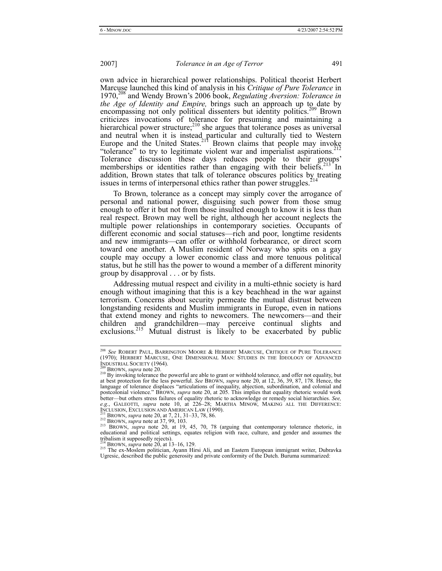own advice in hierarchical power relationships. Political theorist Herbert Marcuse launched this kind of analysis in his *Critique of Pure Tolerance* in 1970,208 and Wendy Brown's 2006 book, *Regulating Aversion: Tolerance in the Age of Identity and Empire,* brings such an approach up to date by encompassing not only political dissenters but identity politics.<sup>209</sup> Brown criticizes invocations of tolerance for presuming and maintaining a hierarchical power structure; $^{210}$  she argues that tolerance poses as universal and neutral when it is instead particular and culturally tied to Western Europe and the United States.<sup>211</sup> Brown claims that people may invoke "tolerance" to try to legitimate violent war and imperialist aspirations.<sup>212</sup> Tolerance discussion these days reduces people to their groups' memberships or identities rather than engaging with their beliefs.<sup>213</sup> In addition, Brown states that talk of tolerance obscures politics by treating issues in terms of interpersonal ethics rather than power struggles.<sup>2</sup>

To Brown, tolerance as a concept may simply cover the arrogance of personal and national power, disguising such power from those smug enough to offer it but not from those insulted enough to know it is less than real respect. Brown may well be right, although her account neglects the multiple power relationships in contemporary societies. Occupants of different economic and social statuses—rich and poor, longtime residents and new immigrants—can offer or withhold forbearance, or direct scorn toward one another. A Muslim resident of Norway who spits on a gay couple may occupy a lower economic class and more tenuous political status, but he still has the power to wound a member of a different minority group by disapproval . . . or by fists.

Addressing mutual respect and civility in a multi-ethnic society is hard enough without imagining that this is a key beachhead in the war against terrorism. Concerns about security permeate the mutual distrust between longstanding residents and Muslim immigrants in Europe, even in nations that extend money and rights to newcomers. The newcomers—and their children and grandchildren—may perceive continual slights and exclusions.<sup>215</sup> Mutual distrust is likely to be exacerbated by public

 <sup>208</sup> *See* ROBERT PAUL, BARRINGTON MOORE & HERBERT MARCUSE, CRITIQUE OF PURE TOLERANCE (1970); HERBERT MARCUSE, ONE DIMENSIONAL MAN: STUDIES IN THE IDEOLOGY OF ADVANCED<br>Industrial Society (1964).

<sup>&</sup>lt;sup>209</sup> BROWN, *supra* note 20. <br><sup>210</sup> By invoking tolerance the powerful are able to grant or withhold tolerance, and offer not equality, but at best protection for the less powerful. *See* BROWN, *supra* note 20, at 12, 36, 39, 87, 178. Hence, the language of tolerance displaces "articulations of inequality, abjection, subordination, and colonial and postcolonial violence." BROWN, *supra* note 20, at 205. This implies that equality rhetoric would work better—but others stress failures of equality rhetoric to acknowledge or remedy social hierarchies. *See,*  e.g., GALEOTTI, *supra* note 10, at 226-28; MARTHA MINOW, MAKING ALL THE DIFFERENCE:<br>INCLUSION, EXCLUSION AND AMERICAN LAW (1990).<br><sup>212</sup> BROWN, *supra* note 20, at 7, 21, 31–33, 78, 86.<br><sup>212</sup> BROWN, *supra* note 20, at 7,

EDENOWIN, *supra* note 20, at 1, 9, 103.<br>
<sup>213</sup> BROWN, *supra* note 20, at 19, 45, 70, 78 (arguing that contemporary tolerance rhetoric, in<br>
<sup>213</sup> BROWN, *supra* note 20, at 19, 45, 70, 78 (arguing that contemporary toler tribalism it supposedly rejects).<br> $^{214}$  BROWN, *supra* note 20, at 13–16, 129.

<sup>&</sup>lt;sup>215</sup> The ex-Moslem politician, Ayann Hirsi Ali, and an Eastern European immigrant writer, Dubravka Ugresic, described the public generosity and private conformity of the Dutch. Buruma summarized: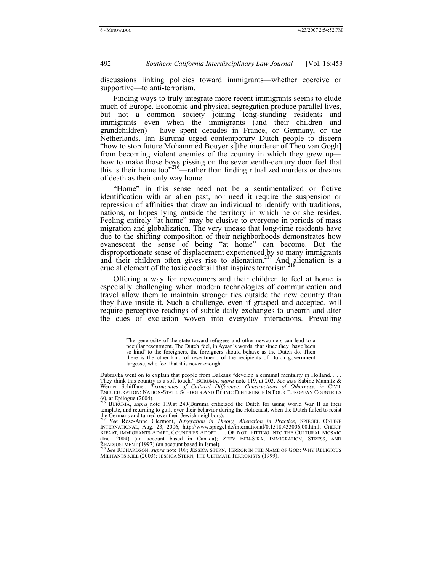l

492 *Southern California Interdisciplinary Law Journal* [Vol. 16:453

discussions linking policies toward immigrants—whether coercive or supportive—to anti-terrorism.

Finding ways to truly integrate more recent immigrants seems to elude much of Europe. Economic and physical segregation produce parallel lives, but not a common society joining long-standing residents and immigrants—even when the immigrants (and their children and grandchildren) —have spent decades in France, or Germany, or the Netherlands. Ian Buruma urged contemporary Dutch people to discern "how to stop future Mohammed Bouyeris [the murderer of Theo van Gogh] from becoming violent enemies of the country in which they grew up how to make those boys pissing on the seventeenth-century door feel that this is their home too" $216$ —rather than finding ritualized murders or dreams of death as their only way home.

"Home" in this sense need not be a sentimentalized or fictive identification with an alien past, nor need it require the suspension or repression of affinities that draw an individual to identify with traditions, nations, or hopes lying outside the territory in which he or she resides. Feeling entirely "at home" may be elusive to everyone in periods of mass migration and globalization. The very unease that long-time residents have due to the shifting composition of their neighborhoods demonstrates how evanescent the sense of being "at home" can become. But the disproportionate sense of displacement experienced by so many immigrants and their children often gives rise to alienation.<sup>217</sup> And alienation is a crucial element of the toxic cocktail that inspires terrorism.<sup>2</sup>

Offering a way for newcomers and their children to feel at home is especially challenging when modern technologies of communication and travel allow them to maintain stronger ties outside the new country than they have inside it. Such a challenge, even if grasped and accepted, will require perceptive readings of subtle daily exchanges to unearth and alter the cues of exclusion woven into everyday interactions. Prevailing

> The generosity of the state toward refugees and other newcomers can lead to a peculiar resentment. The Dutch feel, in Ayaan's words, that since they 'have been so kind' to the foreigners, the foreigners should behave as the Dutch do. Then there is the other kind of resentment, of the recipients of Dutch government largesse, who feel that it is never enough.

MILITANTS KILL (2003); JESSICA STERN, THE ULTIMATE TERRORISTS (1999).

Dubravka went on to explain that people from Balkans "develop a criminal mentality in Holland. . . . They think this country is a soft touch." BURUMA, *supra* note 119, at 203. *See also* Sabine Mannitz & Werner Schiffauer, *Taxonomies of Cultural Difference: Constructions of Otherness, in CIVIL*<br>ENCULTURATION: NATION-STA  $60$ , at Epilogue (2004).

<sup>&</sup>lt;sup>216'</sup> BURUMA, *supra* note 119.at 240(Buruma criticized the Dutch for using World War II as their template, and returning to guilt over their behavior during the Holocaust, when the Dutch failed to resist the Germans and turned over their Jewish neighbors).

<sup>217</sup> *See* Rose-Anne Clermont, *Integration in Theory, Alienation in Practice*, SPIEGEL ONLINE INTERNATIONAL, Aug. 23, 2006, http://www.spiegel.de/international/0,1518,433006,00.html; CHERIF RIFAAT, IMMIGRANTS ADAPT, COUNTRIES ADOPT . . . OR NOT: FITTING INTO THE CULTURAL MOSAIC (Inc. 2004) (an account based in Canada); ZEEV BEN-SIRA, IMMIGRATION, STRESS, AND READJUSTMENT (1997) (an account based in Israel).<br>R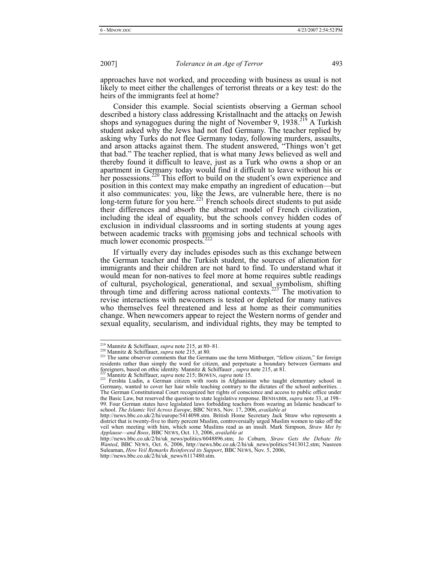approaches have not worked, and proceeding with business as usual is not likely to meet either the challenges of terrorist threats or a key test: do the heirs of the immigrants feel at home?

Consider this example. Social scientists observing a German school described a history class addressing Kristallnacht and the attacks on Jewish shops and synagogues during the night of November 9, 1938.<sup>219</sup> A Turkish student asked why the Jews had not fled Germany. The teacher replied by asking why Turks do not flee Germany today, following murders, assaults, and arson attacks against them. The student answered, "Things won't get that bad." The teacher replied, that is what many Jews believed as well and thereby found it difficult to leave, just as a Turk who owns a shop or an apartment in Germany today would find it difficult to leave without his or her possessions.<sup>220</sup> This effort to build on the student's own experience and position in this context may make empathy an ingredient of education—but it also communicates: you, like the Jews, are vulnerable here, there is no long-term future for you here.<sup>221</sup> French schools direct students to put aside their differences and absorb the abstract model of French civilization, including the ideal of equality, but the schools convey hidden codes of exclusion in individual classrooms and in sorting students at young ages between academic tracks with promising jobs and technical schools with much lower economic prospects.

If virtually every day includes episodes such as this exchange between the German teacher and the Turkish student, the sources of alienation for immigrants and their children are not hard to find. To understand what it would mean for non-natives to feel more at home requires subtle readings of cultural, psychological, generational, and sexual symbolism, shifting through time and differing across national contexts.<sup>223</sup> The motivation to revise interactions with newcomers is tested or depleted for many natives who themselves feel threatened and less at home as their communities change. When newcomers appear to reject the Western norms of gender and sexual equality, secularism, and individual rights, they may be tempted to

<sup>&</sup>lt;sup>219</sup> Mannitz & Schiffauer, *supra* note 215, at 80–81.<br><sup>220</sup> Mannitz & Schiffauer, *supra* note 215, at 80.<br><sup>221</sup> The same observer comments that the Germans use the term Mittburger, "fellow citizen," for foreign residents rather than simply the word for citizen, and perpetuate a boundary between Germans and Foreigners, based on ethic identity. Mannitz & Schiffauer, *supra* note 215, at 81.<br>
<sup>222</sup> Mannitz & Schiffauer, *supra* note 215, at 81.<br>
<sup>222</sup> Mannitz & Schiffauer, *supra* note 215; BOWEN, *supra* note 15.<br>
<sup>223</sup> Fersht

Germany, wanted to cover her hair while teaching contrary to the dictates of the school authorities. . The German Constitutional Court recognized her rights of conscience and access to public office under the Basic Law, but reserved the question to state legislative response. BENHABIB, *supra* note 33, at 198– 99. Four German states have legislated laws forbidding teachers from wearing an Islamic headscarf to school. *The Islamic Veil Across Europe*, BBC NEWS, Nov. 17, 2006, *available at*

http://news.bbc.co.uk/2/hi/europe/5414098.stm. British Home Secretary Jack Straw who represents a district that is twenty-five to thirty percent Muslim, controversially urged Muslim women to take off the veil when meeting with him, which some Muslims read as an insult. Mark Simpson, *Straw Met by Applause—and Boos*, BBC NEWS, Oct. 13, 2006, *available at*

http://news.bbc.co.uk/2/hi/uk\_news/politics/6048896.stm; Jo Coburn, *Straw Gets the Debate He Wanted*, BBC NEWS, Oct. 6, 2006, http://news.bbc.co.uk/2/hi/uk\_news/politics/5413012.stm; Nasreen Suleaman, *How Veil Remarks Reinforced its Support*, BBC NEWS, Nov. 5, 2006, http://news.bbc.co.uk/2/hi/uk\_news/6117480.stm.